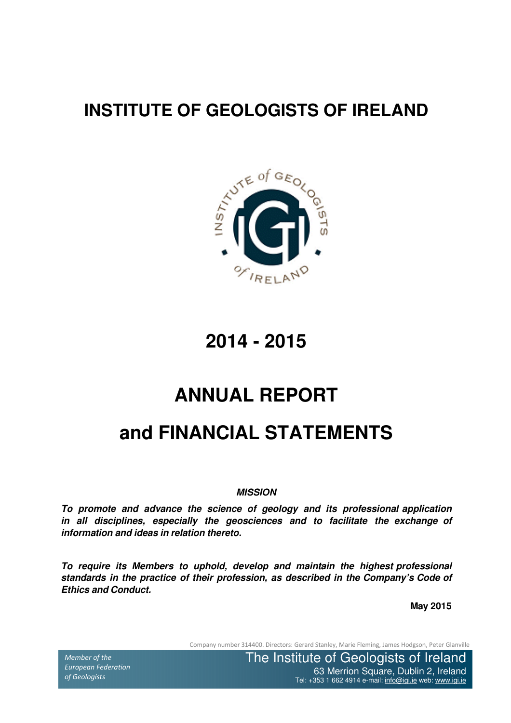# **INSTITUTE OF GEOLOGISTS OF IRELAND**



**2014 - 2015**

# **ANNUAL REPORT**

# **and FINANCIAL STATEMENTS**

#### **MISSION**

**To promote and advance the science of geology and its professional application in all disciplines, especially the geosciences and to facilitate the exchange of information and ideas in relation thereto.**

**To require its Members to uphold, develop and maintain the highest professional standards in the practice of their profession, as described in the Company's Code of Ethics and Conduct.**

**May 2015**

Company number 314400. Directors: Gerard Stanley, Marie Fleming, James Hodgson, Peter Glanville

Member of the European Federation of Geologists

The Institute of Geology School Square, Dublin 2, Irel iel: +353 1 662 4914 e-mail: <u>info@igi.ie</u> web: <u>www.i</u> The Institute of Geologists of Ireland 63 Merrion Square, Dublin 2, Ireland Tel: +353 1 662 4914 e-mail: info@igi.ie web: www.igi.ie

Tel:  $\sim$  353  $\mu$  662  $\mu$  662  $\mu$  662  $\mu$  mail: info@igi.ie web: www.igi.ie web: www.igi.ie web: www.igi.ie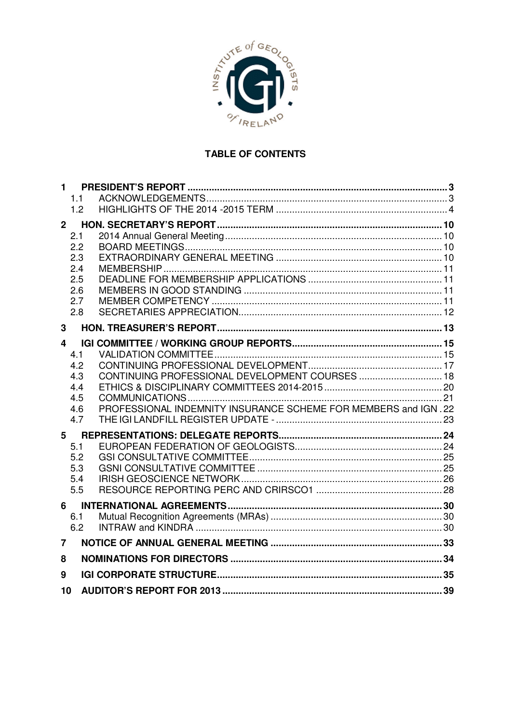

## TABLE OF CONTENTS

| $\mathbf 1$ | 1.1<br>1.2                                           |                                                                                                                    |  |
|-------------|------------------------------------------------------|--------------------------------------------------------------------------------------------------------------------|--|
| $2^{\circ}$ | 2.1<br>2.2<br>2.3<br>2.4<br>2.5<br>2.6<br>2.7<br>2.8 |                                                                                                                    |  |
| 3           |                                                      |                                                                                                                    |  |
| 4           | 4.1<br>4.2<br>4.3<br>4.4<br>4.5<br>4.6<br>4.7        | CONTINUING PROFESSIONAL DEVELOPMENT COURSES  18<br>PROFESSIONAL INDEMNITY INSURANCE SCHEME FOR MEMBERS and IGN. 22 |  |
| 5           | 5.1<br>5.2<br>5.3<br>5.4<br>5.5                      |                                                                                                                    |  |
| 6           | 6.1<br>6.2                                           |                                                                                                                    |  |
| 7           |                                                      |                                                                                                                    |  |
| 8           |                                                      |                                                                                                                    |  |
| 9           |                                                      |                                                                                                                    |  |
| 10          |                                                      |                                                                                                                    |  |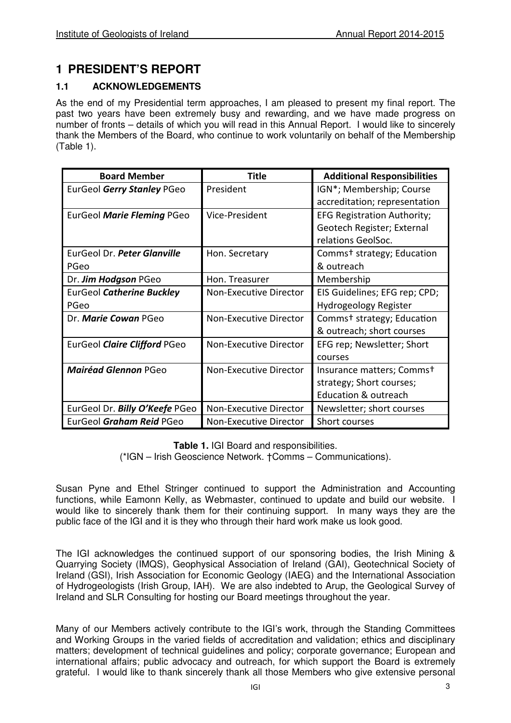## **1 PRESIDENT'S REPORT**

## **1.1 ACKNOWLEDGEMENTS**

As the end of my Presidential term approaches, I am pleased to present my final report. The past two years have been extremely busy and rewarding, and we have made progress on number of fronts – details of which you will read in this Annual Report. I would like to sincerely thank the Members of the Board, who continue to work voluntarily on behalf of the Membership (Table 1).

| <b>Board Member</b>            | Title                  | <b>Additional Responsibilities</b>     |
|--------------------------------|------------------------|----------------------------------------|
| EurGeol Gerry Stanley PGeo     | President              | IGN*; Membership; Course               |
|                                |                        | accreditation; representation          |
| EurGeol Marie Fleming PGeo     | Vice-President         | <b>EFG Registration Authority;</b>     |
|                                |                        | Geotech Register; External             |
|                                |                        | relations GeolSoc.                     |
| EurGeol Dr. Peter Glanville    | Hon. Secretary         | Comms <sup>+</sup> strategy; Education |
| PGeo                           |                        | & outreach                             |
| Dr. Jim Hodgson PGeo           | Hon. Treasurer         | Membership                             |
| EurGeol Catherine Buckley      | Non-Executive Director | EIS Guidelines; EFG rep; CPD;          |
| PGeo                           |                        | Hydrogeology Register                  |
| Dr. Marie Cowan PGeo           | Non-Executive Director | Comms <sup>+</sup> strategy; Education |
|                                |                        | & outreach; short courses              |
| EurGeol Claire Clifford PGeo   | Non-Executive Director | EFG rep; Newsletter; Short             |
|                                |                        | courses                                |
| <b>Mairéad Glennon PGeo</b>    | Non-Executive Director | Insurance matters; Commst              |
|                                |                        | strategy; Short courses;               |
|                                |                        | <b>Education &amp; outreach</b>        |
| EurGeol Dr. Billy O'Keefe PGeo | Non-Executive Director | Newsletter; short courses              |
| EurGeol Graham Reid PGeo       | Non-Executive Director | Short courses                          |

**Table 1.** IGI Board and responsibilities.

(\*IGN – Irish Geoscience Network. †Comms – Communications).

Susan Pyne and Ethel Stringer continued to support the Administration and Accounting functions, while Eamonn Kelly, as Webmaster, continued to update and build our website. I would like to sincerely thank them for their continuing support. In many ways they are the public face of the IGI and it is they who through their hard work make us look good.

The IGI acknowledges the continued support of our sponsoring bodies, the Irish Mining & Quarrying Society (IMQS), Geophysical Association of Ireland (GAI), Geotechnical Society of Ireland (GSI), Irish Association for Economic Geology (IAEG) and the International Association of Hydrogeologists (Irish Group, IAH). We are also indebted to Arup, the Geological Survey of Ireland and SLR Consulting for hosting our Board meetings throughout the year.

Many of our Members actively contribute to the IGI's work, through the Standing Committees and Working Groups in the varied fields of accreditation and validation; ethics and disciplinary matters; development of technical guidelines and policy; corporate governance; European and international affairs; public advocacy and outreach, for which support the Board is extremely grateful. I would like to thank sincerely thank all those Members who give extensive personal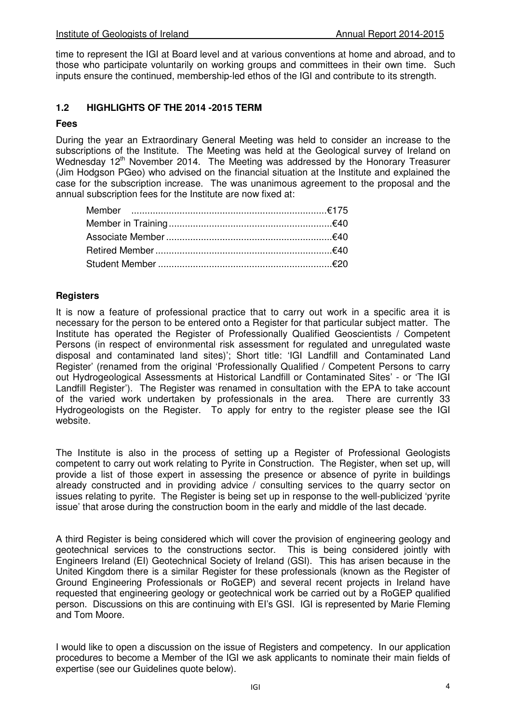time to represent the IGI at Board level and at various conventions at home and abroad, and to those who participate voluntarily on working groups and committees in their own time. Such inputs ensure the continued, membership-led ethos of the IGI and contribute to its strength.

#### **1.2 HIGHLIGHTS OF THE 2014 -2015 TERM**

#### **Fees**

During the year an Extraordinary General Meeting was held to consider an increase to the subscriptions of the Institute. The Meeting was held at the Geological survey of Ireland on Wednesday 12<sup>th</sup> November 2014. The Meeting was addressed by the Honorary Treasurer (Jim Hodgson PGeo) who advised on the financial situation at the Institute and explained the case for the subscription increase. The was unanimous agreement to the proposal and the annual subscription fees for the Institute are now fixed at:

## **Registers**

It is now a feature of professional practice that to carry out work in a specific area it is necessary for the person to be entered onto a Register for that particular subject matter. The Institute has operated the Register of Professionally Qualified Geoscientists / Competent Persons (in respect of environmental risk assessment for regulated and unregulated waste disposal and contaminated land sites)'; Short title: 'IGI Landfill and Contaminated Land Register' (renamed from the original 'Professionally Qualified / Competent Persons to carry out Hydrogeological Assessments at Historical Landfill or Contaminated Sites' - or 'The IGI Landfill Register'). The Register was renamed in consultation with the EPA to take account of the varied work undertaken by professionals in the area. There are currently 33 Hydrogeologists on the Register. To apply for entry to the register please see the IGI website.

The Institute is also in the process of setting up a Register of Professional Geologists competent to carry out work relating to Pyrite in Construction. The Register, when set up, will provide a list of those expert in assessing the presence or absence of pyrite in buildings already constructed and in providing advice / consulting services to the quarry sector on issues relating to pyrite. The Register is being set up in response to the well-publicized 'pyrite issue' that arose during the construction boom in the early and middle of the last decade.

A third Register is being considered which will cover the provision of engineering geology and geotechnical services to the constructions sector. This is being considered jointly with Engineers Ireland (EI) Geotechnical Society of Ireland (GSI). This has arisen because in the United Kingdom there is a similar Register for these professionals (known as the Register of Ground Engineering Professionals or RoGEP) and several recent projects in Ireland have requested that engineering geology or geotechnical work be carried out by a RoGEP qualified person. Discussions on this are continuing with EI's GSI. IGI is represented by Marie Fleming and Tom Moore.

I would like to open a discussion on the issue of Registers and competency. In our application procedures to become a Member of the IGI we ask applicants to nominate their main fields of expertise (see our Guidelines quote below).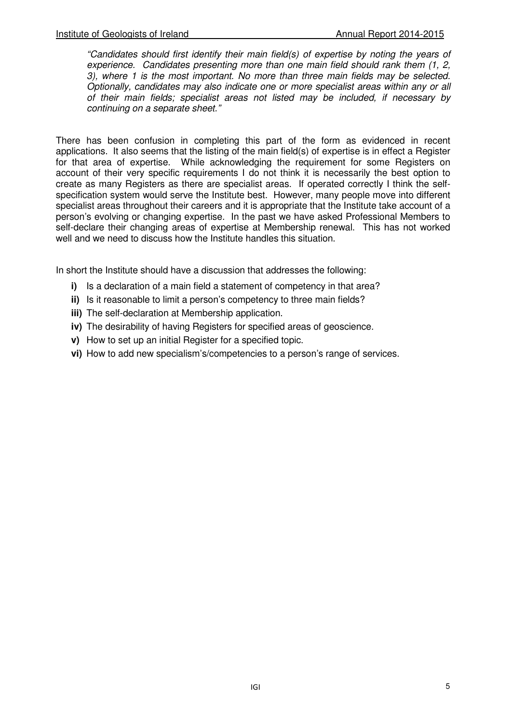"Candidates should first identify their main field(s) of expertise by noting the years of experience. Candidates presenting more than one main field should rank them (1, 2, 3), where 1 is the most important. No more than three main fields may be selected. Optionally, candidates may also indicate one or more specialist areas within any or all of their main fields; specialist areas not listed may be included, if necessary by continuing on a separate sheet."

There has been confusion in completing this part of the form as evidenced in recent applications. It also seems that the listing of the main field(s) of expertise is in effect a Register for that area of expertise. While acknowledging the requirement for some Registers on account of their very specific requirements I do not think it is necessarily the best option to create as many Registers as there are specialist areas. If operated correctly I think the selfspecification system would serve the Institute best. However, many people move into different specialist areas throughout their careers and it is appropriate that the Institute take account of a person's evolving or changing expertise. In the past we have asked Professional Members to self-declare their changing areas of expertise at Membership renewal. This has not worked well and we need to discuss how the Institute handles this situation.

In short the Institute should have a discussion that addresses the following:

- **i)** Is a declaration of a main field a statement of competency in that area?
- **ii)** Is it reasonable to limit a person's competency to three main fields?
- **iii)** The self-declaration at Membership application.
- **iv)** The desirability of having Registers for specified areas of geoscience.
- **v)** How to set up an initial Register for a specified topic.
- **vi)** How to add new specialism's/competencies to a person's range of services.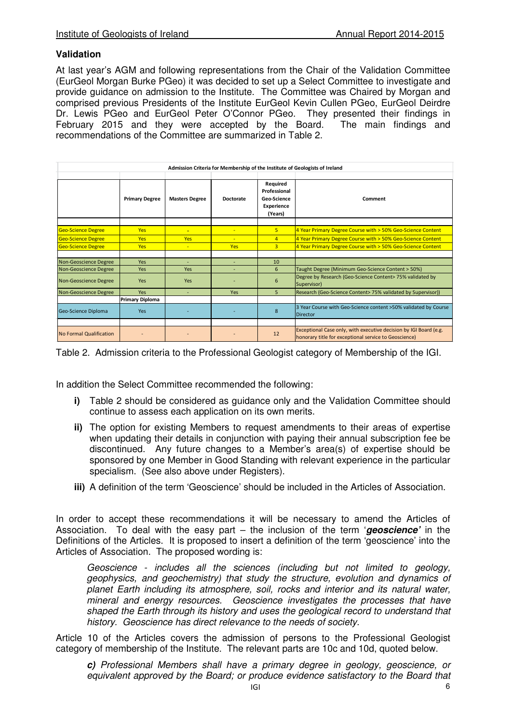#### **Validation**

At last year's AGM and following representations from the Chair of the Validation Committee (EurGeol Morgan Burke PGeo) it was decided to set up a Select Committee to investigate and provide guidance on admission to the Institute. The Committee was Chaired by Morgan and comprised previous Presidents of the Institute EurGeol Kevin Cullen PGeo, EurGeol Deirdre Dr. Lewis PGeo and EurGeol Peter O'Connor PGeo. They presented their findings in February 2015 and they were accepted by the Board. The main findings and recommendations of the Committee are summarized in Table 2.

| Admission Criteria for Membership of the Institute of Geologists of Ireland |                        |                       |                  |                                                                  |                                                                                                                            |
|-----------------------------------------------------------------------------|------------------------|-----------------------|------------------|------------------------------------------------------------------|----------------------------------------------------------------------------------------------------------------------------|
|                                                                             | <b>Primary Degree</b>  | <b>Masters Degree</b> | <b>Doctorate</b> | Required<br>Professional<br>Geo-Science<br>Experience<br>(Years) | Comment                                                                                                                    |
|                                                                             |                        |                       |                  |                                                                  |                                                                                                                            |
| <b>Geo-Science Degree</b>                                                   | <b>Yes</b>             | $\equiv$              | $\equiv$         | 5                                                                | 4 Year Primary Degree Course with > 50% Geo-Science Content                                                                |
| Geo-Science Degree                                                          | <b>Yes</b>             | <b>Yes</b>            | ٠                | $\overline{4}$                                                   | 4 Year Primary Degree Course with > 50% Geo-Science Content                                                                |
| <b>Geo-Science Degree</b>                                                   | <b>Yes</b>             | ٠                     | Yes              | $\overline{3}$                                                   | 4 Year Primary Degree Course with > 50% Geo-Science Content                                                                |
|                                                                             |                        |                       |                  |                                                                  |                                                                                                                            |
| Non-Geoscience Degree                                                       | <b>Yes</b>             | ٠                     |                  | 10                                                               |                                                                                                                            |
| Non-Geoscience Degree                                                       | <b>Yes</b>             | Yes                   |                  | 6                                                                | Taught Degree (Minimum Geo-Science Content > 50%)                                                                          |
| Non-Geoscience Degree                                                       | Yes                    | Yes                   |                  | 6                                                                | Degree by Research (Geo-Science Content> 75% validated by<br>Supervisor)                                                   |
| Non-Geoscience Degree                                                       | <b>Yes</b>             | ٠                     | Yes              | 5.                                                               | Research (Geo-Science Content> 75% validated by Supervisor))                                                               |
|                                                                             | <b>Primary Diploma</b> |                       |                  |                                                                  |                                                                                                                            |
| Geo-Science Diploma                                                         | <b>Yes</b>             |                       |                  | $\mathbf{8}$                                                     | 3 Year Course with Geo-Science content >50% validated by Course<br><b>Director</b>                                         |
|                                                                             |                        |                       |                  |                                                                  |                                                                                                                            |
| <b>No Formal Qualification</b>                                              |                        |                       |                  | 12                                                               | Exceptional Case only, with executive decision by IGI Board (e.g.<br>honorary title for exceptional service to Geoscience) |

Table 2. Admission criteria to the Professional Geologist category of Membership of the IGI.

In addition the Select Committee recommended the following:

- **i)** Table 2 should be considered as quidance only and the Validation Committee should continue to assess each application on its own merits.
- **ii)** The option for existing Members to request amendments to their areas of expertise when updating their details in conjunction with paying their annual subscription fee be discontinued. Any future changes to a Member's area(s) of expertise should be sponsored by one Member in Good Standing with relevant experience in the particular specialism. (See also above under Registers).
- **iii)** A definition of the term 'Geoscience' should be included in the Articles of Association.

In order to accept these recommendations it will be necessary to amend the Articles of Association. To deal with the easy part – the inclusion of the term '**geoscience'** in the Definitions of the Articles. It is proposed to insert a definition of the term 'geoscience' into the Articles of Association. The proposed wording is:

Geoscience - includes all the sciences (including but not limited to geology, geophysics, and geochemistry) that study the structure, evolution and dynamics of planet Earth including its atmosphere, soil, rocks and interior and its natural water, mineral and energy resources. Geoscience investigates the processes that have shaped the Earth through its history and uses the geological record to understand that history. Geoscience has direct relevance to the needs of society.

Article 10 of the Articles covers the admission of persons to the Professional Geologist category of membership of the Institute. The relevant parts are 10c and 10d, quoted below.

**c)** Professional Members shall have a primary degree in geology, geoscience, or equivalent approved by the Board; or produce evidence satisfactory to the Board that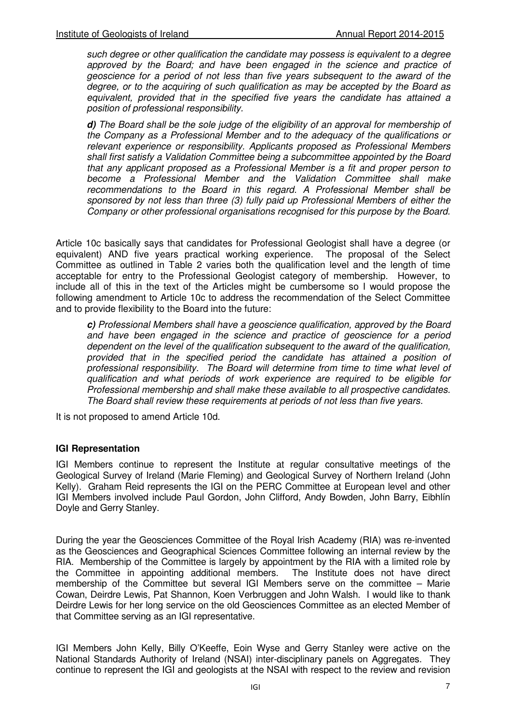such degree or other qualification the candidate may possess is equivalent to a degree approved by the Board; and have been engaged in the science and practice of geoscience for a period of not less than five years subsequent to the award of the degree, or to the acquiring of such qualification as may be accepted by the Board as equivalent, provided that in the specified five years the candidate has attained a position of professional responsibility.

**d)** The Board shall be the sole judge of the eligibility of an approval for membership of the Company as a Professional Member and to the adequacy of the qualifications or relevant experience or responsibility. Applicants proposed as Professional Members shall first satisfy a Validation Committee being a subcommittee appointed by the Board that any applicant proposed as a Professional Member is a fit and proper person to become a Professional Member and the Validation Committee shall make recommendations to the Board in this regard. A Professional Member shall be sponsored by not less than three (3) fully paid up Professional Members of either the Company or other professional organisations recognised for this purpose by the Board.

Article 10c basically says that candidates for Professional Geologist shall have a degree (or equivalent) AND five years practical working experience. The proposal of the Select Committee as outlined in Table 2 varies both the qualification level and the length of time acceptable for entry to the Professional Geologist category of membership. However, to include all of this in the text of the Articles might be cumbersome so I would propose the following amendment to Article 10c to address the recommendation of the Select Committee and to provide flexibility to the Board into the future:

**c)** Professional Members shall have a geoscience qualification, approved by the Board and have been engaged in the science and practice of geoscience for a period dependent on the level of the qualification subsequent to the award of the qualification, provided that in the specified period the candidate has attained a position of professional responsibility. The Board will determine from time to time what level of qualification and what periods of work experience are required to be eligible for Professional membership and shall make these available to all prospective candidates. The Board shall review these requirements at periods of not less than five years.

It is not proposed to amend Article 10d.

#### **IGI Representation**

IGI Members continue to represent the Institute at regular consultative meetings of the Geological Survey of Ireland (Marie Fleming) and Geological Survey of Northern Ireland (John Kelly). Graham Reid represents the IGI on the PERC Committee at European level and other IGI Members involved include Paul Gordon, John Clifford, Andy Bowden, John Barry, Eibhlín Doyle and Gerry Stanley.

During the year the Geosciences Committee of the Royal Irish Academy (RIA) was re-invented as the Geosciences and Geographical Sciences Committee following an internal review by the RIA. Membership of the Committee is largely by appointment by the RIA with a limited role by the Committee in appointing additional members. The Institute does not have direct membership of the Committee but several IGI Members serve on the committee – Marie Cowan, Deirdre Lewis, Pat Shannon, Koen Verbruggen and John Walsh. I would like to thank Deirdre Lewis for her long service on the old Geosciences Committee as an elected Member of that Committee serving as an IGI representative.

IGI Members John Kelly, Billy O'Keeffe, Eoin Wyse and Gerry Stanley were active on the National Standards Authority of Ireland (NSAI) inter-disciplinary panels on Aggregates. They continue to represent the IGI and geologists at the NSAI with respect to the review and revision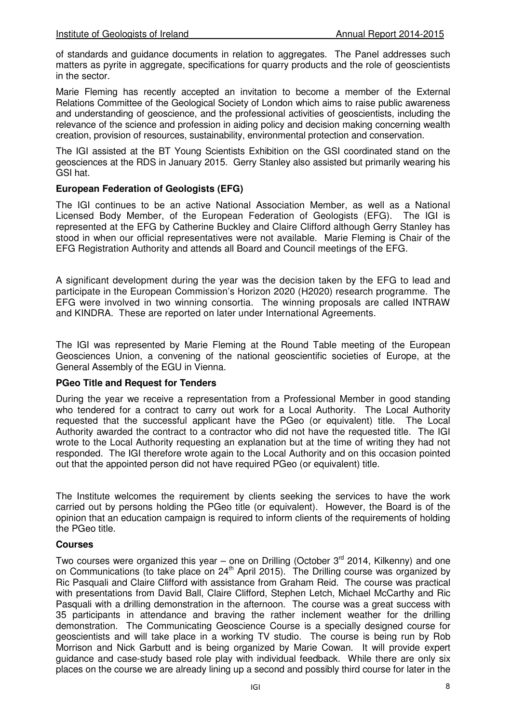of standards and guidance documents in relation to aggregates. The Panel addresses such matters as pyrite in aggregate, specifications for quarry products and the role of geoscientists in the sector.

Marie Fleming has recently accepted an invitation to become a member of the External Relations Committee of the Geological Society of London which aims to raise public awareness and understanding of geoscience, and the professional activities of geoscientists, including the relevance of the science and profession in aiding policy and decision making concerning wealth creation, provision of resources, sustainability, environmental protection and conservation.

The IGI assisted at the BT Young Scientists Exhibition on the GSI coordinated stand on the geosciences at the RDS in January 2015. Gerry Stanley also assisted but primarily wearing his GSI hat.

#### **European Federation of Geologists (EFG)**

The IGI continues to be an active National Association Member, as well as a National Licensed Body Member, of the European Federation of Geologists (EFG). The IGI is represented at the EFG by Catherine Buckley and Claire Clifford although Gerry Stanley has stood in when our official representatives were not available. Marie Fleming is Chair of the EFG Registration Authority and attends all Board and Council meetings of the EFG.

A significant development during the year was the decision taken by the EFG to lead and participate in the European Commission's Horizon 2020 (H2020) research programme. The EFG were involved in two winning consortia. The winning proposals are called INTRAW and KINDRA. These are reported on later under International Agreements.

The IGI was represented by Marie Fleming at the Round Table meeting of the European Geosciences Union, a convening of the national geoscientific societies of Europe, at the General Assembly of the EGU in Vienna.

#### **PGeo Title and Request for Tenders**

During the year we receive a representation from a Professional Member in good standing who tendered for a contract to carry out work for a Local Authority. The Local Authority requested that the successful applicant have the PGeo (or equivalent) title. The Local Authority awarded the contract to a contractor who did not have the requested title. The IGI wrote to the Local Authority requesting an explanation but at the time of writing they had not responded. The IGI therefore wrote again to the Local Authority and on this occasion pointed out that the appointed person did not have required PGeo (or equivalent) title.

The Institute welcomes the requirement by clients seeking the services to have the work carried out by persons holding the PGeo title (or equivalent). However, the Board is of the opinion that an education campaign is required to inform clients of the requirements of holding the PGeo title.

#### **Courses**

Two courses were organized this year – one on Drilling (October  $3<sup>rd</sup>$  2014, Kilkenny) and one on Communications (to take place on  $24<sup>th</sup>$  April 2015). The Drilling course was organized by Ric Pasquali and Claire Clifford with assistance from Graham Reid. The course was practical with presentations from David Ball, Claire Clifford, Stephen Letch, Michael McCarthy and Ric Pasquali with a drilling demonstration in the afternoon. The course was a great success with 35 participants in attendance and braving the rather inclement weather for the drilling demonstration. The Communicating Geoscience Course is a specially designed course for geoscientists and will take place in a working TV studio. The course is being run by Rob Morrison and Nick Garbutt and is being organized by Marie Cowan. It will provide expert guidance and case-study based role play with individual feedback. While there are only six places on the course we are already lining up a second and possibly third course for later in the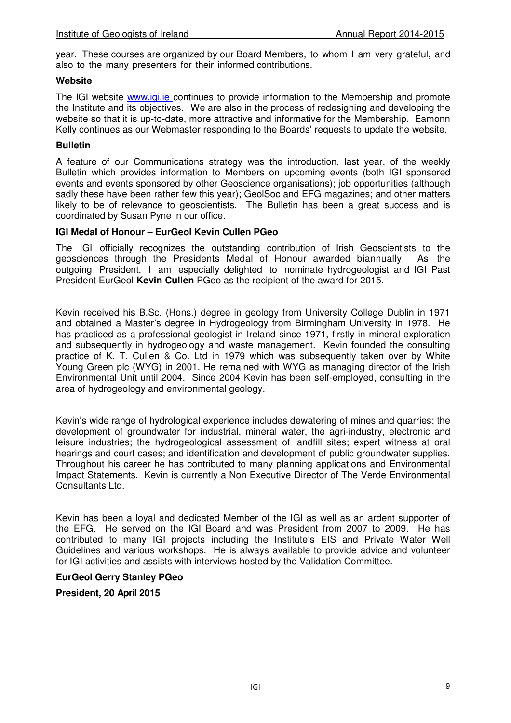year. These courses are organized by our Board Members, to whom I am very grateful, and also to the many presenters for their informed contributions.

#### **Website**

The IGI website www.igi.ie continues to provide information to the Membership and promote the Institute and its objectives. We are also in the process of redesigning and developing the website so that it is up-to-date, more attractive and informative for the Membership. Eamonn Kelly continues as our Webmaster responding to the Boards' requests to update the website.

#### **Bulletin**

A feature of our Communications strategy was the introduction, last year, of the weekly Bulletin which provides information to Members on upcoming events (both IGI sponsored events and events sponsored by other Geoscience organisations); job opportunities (although sadly these have been rather few this year); GeolSoc and EFG magazines; and other matters likely to be of relevance to geoscientists. The Bulletin has been a great success and is coordinated by Susan Pyne in our office.

#### **IGI Medal of Honour – EurGeol Kevin Cullen PGeo**

The IGI officially recognizes the outstanding contribution of Irish Geoscientists to the geosciences through the Presidents Medal of Honour awarded biannually. As the outgoing President, I am especially delighted to nominate hydrogeologist and IGI Past President EurGeol **Kevin Cullen** PGeo as the recipient of the award for 2015.

Kevin received his B.Sc. (Hons.) degree in geology from University College Dublin in 1971 and obtained a Master's degree in Hydrogeology from Birmingham University in 1978. He has practiced as a professional geologist in Ireland since 1971, firstly in mineral exploration and subsequently in hydrogeology and waste management. Kevin founded the consulting practice of K. T. Cullen & Co. Ltd in 1979 which was subsequently taken over by White Young Green plc (WYG) in 2001. He remained with WYG as managing director of the Irish Environmental Unit until 2004. Since 2004 Kevin has been self-employed, consulting in the area of hydrogeology and environmental geology.

Kevin's wide range of hydrological experience includes dewatering of mines and quarries; the development of groundwater for industrial, mineral water, the agri-industry, electronic and leisure industries; the hydrogeological assessment of landfill sites; expert witness at oral hearings and court cases; and identification and development of public groundwater supplies. Throughout his career he has contributed to many planning applications and Environmental Impact Statements. Kevin is currently a Non Executive Director of The Verde Environmental Consultants Ltd.

Kevin has been a loyal and dedicated Member of the IGI as well as an ardent supporter of the EFG. He served on the IGI Board and was President from 2007 to 2009. He has contributed to many IGI projects including the Institute's EIS and Private Water Well Guidelines and various workshops. He is always available to provide advice and volunteer for IGI activities and assists with interviews hosted by the Validation Committee.

#### **EurGeol Gerry Stanley PGeo**

#### **President, 20 April 2015**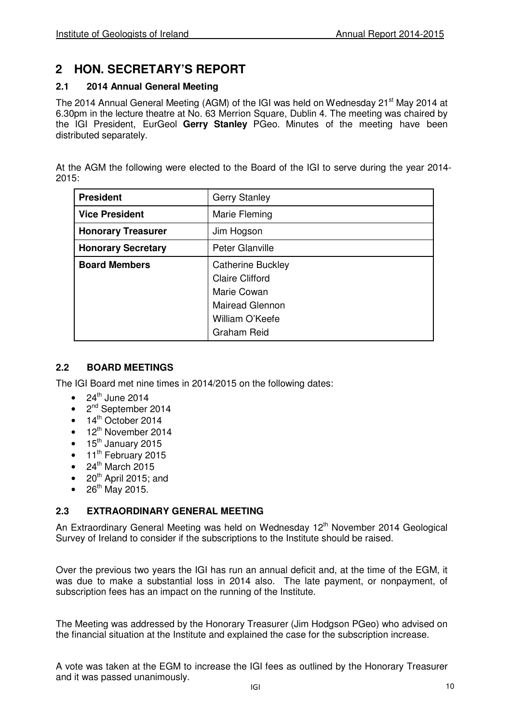## **2 HON. SECRETARY'S REPORT**

## **2.1 2014 Annual General Meeting**

The 2014 Annual General Meeting (AGM) of the IGI was held on Wednesday 21<sup>st</sup> May 2014 at 6.30pm in the lecture theatre at No. 63 Merrion Square, Dublin 4. The meeting was chaired by the IGI President, EurGeol **Gerry Stanley** PGeo. Minutes of the meeting have been distributed separately.

At the AGM the following were elected to the Board of the IGI to serve during the year 2014- 2015:

| <b>President</b>          | <b>Gerry Stanley</b>     |
|---------------------------|--------------------------|
| <b>Vice President</b>     | Marie Fleming            |
| <b>Honorary Treasurer</b> | Jim Hogson               |
| <b>Honorary Secretary</b> | Peter Glanville          |
| <b>Board Members</b>      | <b>Catherine Buckley</b> |
|                           | <b>Claire Clifford</b>   |
|                           | Marie Cowan              |
|                           | <b>Mairead Glennon</b>   |
|                           | William O'Keefe          |
|                           | <b>Graham Reid</b>       |

## **2.2 BOARD MEETINGS**

The IGI Board met nine times in 2014/2015 on the following dates:

- 24<sup>th</sup> June 2014
- $\bullet$  2<sup>nd</sup> September 2014
- $\bullet$  14<sup>th</sup> October 2014
- 12<sup>th</sup> November 2014
- 15<sup>th</sup> January 2015
- 11<sup>th</sup> February 2015
- $\bullet$  24<sup>th</sup> March 2015
- $\bullet$  20<sup>th</sup> April 2015; and
- $26^{th}$  May 2015.

## **2.3 EXTRAORDINARY GENERAL MEETING**

An Extraordinary General Meeting was held on Wednesday 12<sup>th</sup> November 2014 Geological Survey of Ireland to consider if the subscriptions to the Institute should be raised.

Over the previous two years the IGI has run an annual deficit and, at the time of the EGM, it was due to make a substantial loss in 2014 also. The late payment, or nonpayment, of subscription fees has an impact on the running of the Institute.

The Meeting was addressed by the Honorary Treasurer (Jim Hodgson PGeo) who advised on the financial situation at the Institute and explained the case for the subscription increase.

A vote was taken at the EGM to increase the IGI fees as outlined by the Honorary Treasurer and it was passed unanimously.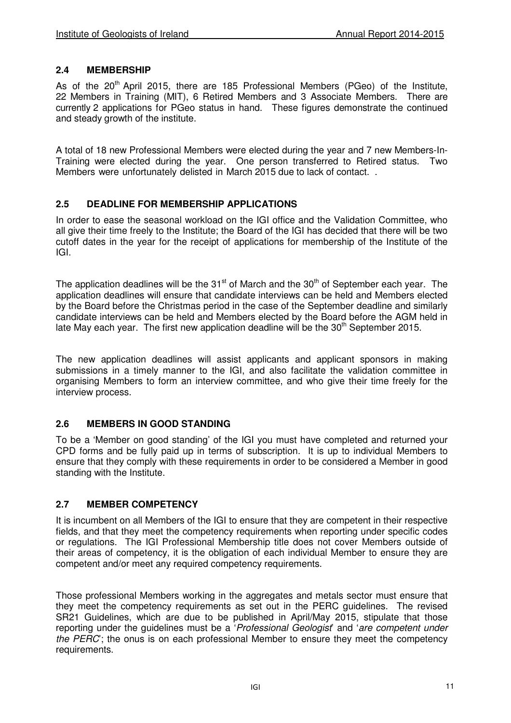## **2.4 MEMBERSHIP**

As of the  $20<sup>th</sup>$  April 2015, there are 185 Professional Members (PGeo) of the Institute, 22 Members in Training (MIT), 6 Retired Members and 3 Associate Members. There are currently 2 applications for PGeo status in hand. These figures demonstrate the continued and steady growth of the institute.

A total of 18 new Professional Members were elected during the year and 7 new Members-In-Training were elected during the year. One person transferred to Retired status. Two Members were unfortunately delisted in March 2015 due to lack of contact. .

#### **2.5 DEADLINE FOR MEMBERSHIP APPLICATIONS**

In order to ease the seasonal workload on the IGI office and the Validation Committee, who all give their time freely to the Institute; the Board of the IGI has decided that there will be two cutoff dates in the year for the receipt of applications for membership of the Institute of the IGI.

The application deadlines will be the  $31<sup>st</sup>$  of March and the  $30<sup>th</sup>$  of September each vear. The application deadlines will ensure that candidate interviews can be held and Members elected by the Board before the Christmas period in the case of the September deadline and similarly candidate interviews can be held and Members elected by the Board before the AGM held in late May each year. The first new application deadline will be the  $30<sup>th</sup>$  September 2015.

The new application deadlines will assist applicants and applicant sponsors in making submissions in a timely manner to the IGI, and also facilitate the validation committee in organising Members to form an interview committee, and who give their time freely for the interview process.

#### **2.6 MEMBERS IN GOOD STANDING**

To be a 'Member on good standing' of the IGI you must have completed and returned your CPD forms and be fully paid up in terms of subscription. It is up to individual Members to ensure that they comply with these requirements in order to be considered a Member in good standing with the Institute.

## **2.7 MEMBER COMPETENCY**

It is incumbent on all Members of the IGI to ensure that they are competent in their respective fields, and that they meet the competency requirements when reporting under specific codes or regulations. The IGI Professional Membership title does not cover Members outside of their areas of competency, it is the obligation of each individual Member to ensure they are competent and/or meet any required competency requirements.

Those professional Members working in the aggregates and metals sector must ensure that they meet the competency requirements as set out in the PERC guidelines. The revised SR21 Guidelines, which are due to be published in April/May 2015, stipulate that those reporting under the quidelines must be a *Professional Geologist* and 'are competent under the  $PERC$ ; the onus is on each professional Member to ensure they meet the competency requirements.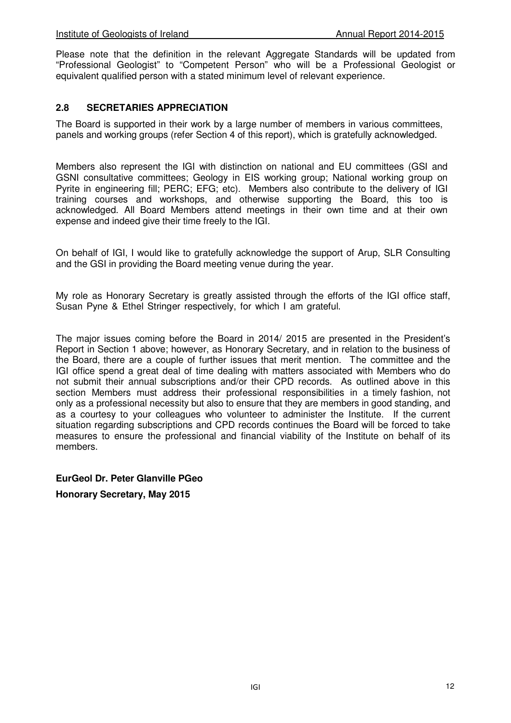Please note that the definition in the relevant Aggregate Standards will be updated from "Professional Geologist" to "Competent Person" who will be a Professional Geologist or equivalent qualified person with a stated minimum level of relevant experience.

#### **2.8 SECRETARIES APPRECIATION**

The Board is supported in their work by a large number of members in various committees, panels and working groups (refer Section 4 of this report), which is gratefully acknowledged.

Members also represent the IGI with distinction on national and EU committees (GSI and GSNI consultative committees; Geology in EIS working group; National working group on Pyrite in engineering fill; PERC; EFG; etc). Members also contribute to the delivery of IGI training courses and workshops, and otherwise supporting the Board, this too is acknowledged. All Board Members attend meetings in their own time and at their own expense and indeed give their time freely to the IGI.

On behalf of IGI, I would like to gratefully acknowledge the support of Arup, SLR Consulting and the GSI in providing the Board meeting venue during the year.

My role as Honorary Secretary is greatly assisted through the efforts of the IGI office staff, Susan Pyne & Ethel Stringer respectively, for which I am grateful.

The major issues coming before the Board in 2014/ 2015 are presented in the President's Report in Section 1 above; however, as Honorary Secretary, and in relation to the business of the Board, there are a couple of further issues that merit mention. The committee and the IGI office spend a great deal of time dealing with matters associated with Members who do not submit their annual subscriptions and/or their CPD records. As outlined above in this section Members must address their professional responsibilities in a timely fashion, not only as a professional necessity but also to ensure that they are members in good standing, and as a courtesy to your colleagues who volunteer to administer the Institute. If the current situation regarding subscriptions and CPD records continues the Board will be forced to take measures to ensure the professional and financial viability of the Institute on behalf of its members.

## **EurGeol Dr. Peter Glanville PGeo**

**Honorary Secretary, May 2015**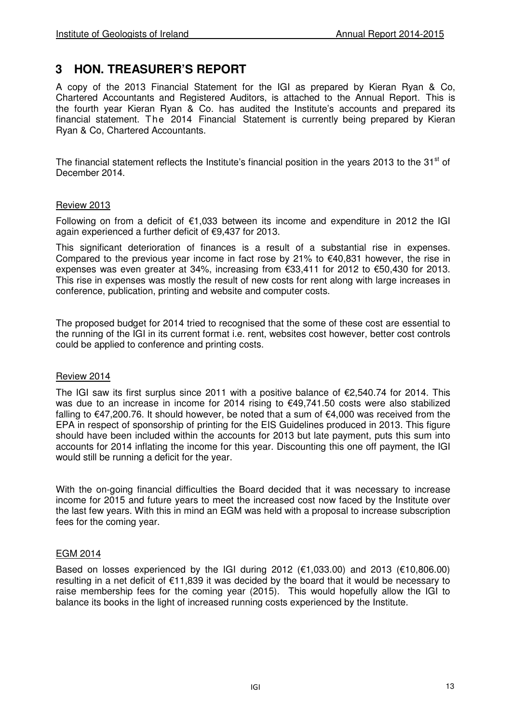## **3 HON. TREASURER'S REPORT**

A copy of the 2013 Financial Statement for the IGI as prepared by Kieran Ryan & Co, Chartered Accountants and Registered Auditors, is attached to the Annual Report. This is the fourth year Kieran Ryan & Co. has audited the Institute's accounts and prepared its financial statement. The 2014 Financial Statement is currently being prepared by Kieran Ryan & Co, Chartered Accountants.

The financial statement reflects the Institute's financial position in the years 2013 to the 31<sup>st</sup> of December 2014.

#### Review 2013

Following on from a deficit of  $\epsilon$ 1,033 between its income and expenditure in 2012 the IGI again experienced a further deficit of €9,437 for 2013.

This significant deterioration of finances is a result of a substantial rise in expenses. Compared to the previous year income in fact rose by 21% to  $€40,831$  however, the rise in expenses was even greater at 34%, increasing from €33,411 for 2012 to €50,430 for 2013. This rise in expenses was mostly the result of new costs for rent along with large increases in conference, publication, printing and website and computer costs.

The proposed budget for 2014 tried to recognised that the some of these cost are essential to the running of the IGI in its current format i.e. rent, websites cost however, better cost controls could be applied to conference and printing costs.

#### Review 2014

The IGI saw its first surplus since 2011 with a positive balance of  $\epsilon$ 2,540.74 for 2014. This was due to an increase in income for 2014 rising to €49,741.50 costs were also stabilized falling to €47,200.76. It should however, be noted that a sum of €4,000 was received from the EPA in respect of sponsorship of printing for the EIS Guidelines produced in 2013. This figure should have been included within the accounts for 2013 but late payment, puts this sum into accounts for 2014 inflating the income for this year. Discounting this one off payment, the IGI would still be running a deficit for the year.

With the on-going financial difficulties the Board decided that it was necessary to increase income for 2015 and future years to meet the increased cost now faced by the Institute over the last few years. With this in mind an EGM was held with a proposal to increase subscription fees for the coming year.

#### EGM 2014

Based on losses experienced by the IGI during 2012 ( $\epsilon$ 1,033.00) and 2013 ( $\epsilon$ 10,806.00) resulting in a net deficit of €11,839 it was decided by the board that it would be necessary to raise membership fees for the coming year (2015). This would hopefully allow the IGI to balance its books in the light of increased running costs experienced by the Institute.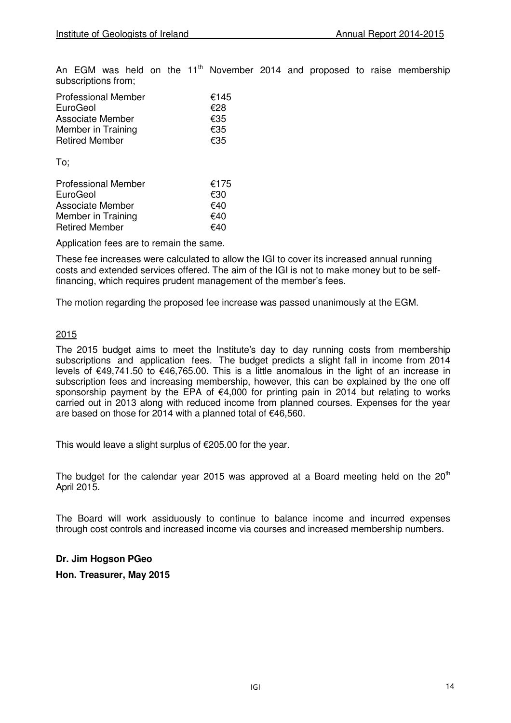An EGM was held on the  $11<sup>th</sup>$  November 2014 and proposed to raise membership subscriptions from;

| <b>Professional Member</b> | €145 |
|----------------------------|------|
| EuroGeol                   | €28  |
| <b>Associate Member</b>    | €35  |
| Member in Training         | €35  |
| <b>Retired Member</b>      | €35  |

To;

| <b>Professional Member</b> | €175 |
|----------------------------|------|
| EuroGeol                   | €30  |
| <b>Associate Member</b>    | €40  |
| Member in Training         | €40  |
| <b>Retired Member</b>      | €40  |

Application fees are to remain the same.

These fee increases were calculated to allow the IGI to cover its increased annual running costs and extended services offered. The aim of the IGI is not to make money but to be selffinancing, which requires prudent management of the member's fees.

The motion regarding the proposed fee increase was passed unanimously at the EGM.

#### 2015

The 2015 budget aims to meet the Institute's day to day running costs from membership subscriptions and application fees. The budget predicts a slight fall in income from 2014 levels of €49,741.50 to €46,765.00. This is a little anomalous in the light of an increase in subscription fees and increasing membership, however, this can be explained by the one off sponsorship payment by the EPA of  $\epsilon$ 4,000 for printing pain in 2014 but relating to works carried out in 2013 along with reduced income from planned courses. Expenses for the year are based on those for 2014 with a planned total of €46,560.

This would leave a slight surplus of €205.00 for the year.

The budget for the calendar year 2015 was approved at a Board meeting held on the  $20<sup>th</sup>$ April 2015.

The Board will work assiduously to continue to balance income and incurred expenses through cost controls and increased income via courses and increased membership numbers.

**Dr. Jim Hogson PGeo** 

**Hon. Treasurer, May 2015**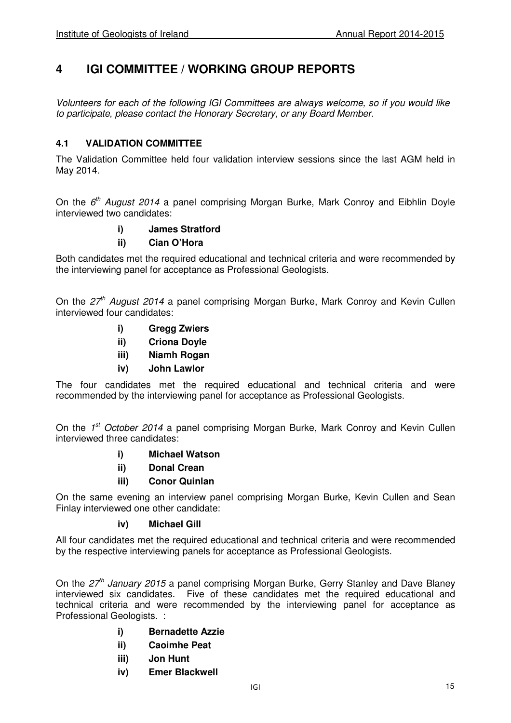## **4 IGI COMMITTEE / WORKING GROUP REPORTS**

Volunteers for each of the following IGI Committees are always welcome, so if you would like to participate, please contact the Honorary Secretary, or any Board Member.

## **4.1 VALIDATION COMMITTEE**

The Validation Committee held four validation interview sessions since the last AGM held in May 2014.

On the  $6<sup>th</sup>$  August 2014 a panel comprising Morgan Burke, Mark Conroy and Eibhlin Doyle interviewed two candidates:

#### **i) James Stratford**

#### **ii) Cian O'Hora**

Both candidates met the required educational and technical criteria and were recommended by the interviewing panel for acceptance as Professional Geologists.

On the  $27<sup>th</sup>$  August 2014 a panel comprising Morgan Burke, Mark Conroy and Kevin Cullen interviewed four candidates:

- **i) Gregg Zwiers**
- **ii) Criona Doyle**
- **iii) Niamh Rogan**
- **iv) John Lawlor**

The four candidates met the required educational and technical criteria and were recommended by the interviewing panel for acceptance as Professional Geologists.

On the 1<sup>st</sup> October 2014 a panel comprising Morgan Burke, Mark Conroy and Kevin Cullen interviewed three candidates:

- **i) Michael Watson**
- **ii) Donal Crean**
- **iii) Conor Quinlan**

On the same evening an interview panel comprising Morgan Burke, Kevin Cullen and Sean Finlay interviewed one other candidate:

#### **iv) Michael Gill**

All four candidates met the required educational and technical criteria and were recommended by the respective interviewing panels for acceptance as Professional Geologists.

On the  $27<sup>th</sup>$  January 2015 a panel comprising Morgan Burke, Gerry Stanley and Dave Blaney interviewed six candidates. Five of these candidates met the required educational and technical criteria and were recommended by the interviewing panel for acceptance as Professional Geologists. :

- **i) Bernadette Azzie**
- **ii) Caoimhe Peat**
- **iii) Jon Hunt**
- **iv) Emer Blackwell**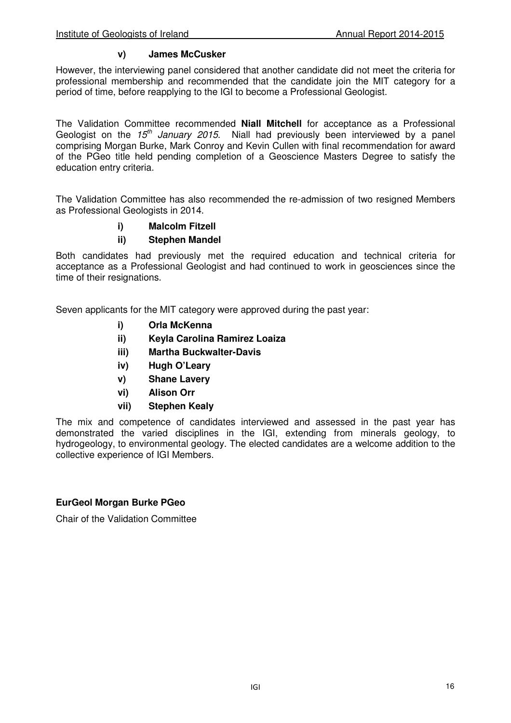#### **v) James McCusker**

However, the interviewing panel considered that another candidate did not meet the criteria for professional membership and recommended that the candidate join the MIT category for a period of time, before reapplying to the IGI to become a Professional Geologist.

The Validation Committee recommended **Niall Mitchell** for acceptance as a Professional Geologist on the  $15<sup>th</sup>$  January 2015. Niall had previously been interviewed by a panel comprising Morgan Burke, Mark Conroy and Kevin Cullen with final recommendation for award of the PGeo title held pending completion of a Geoscience Masters Degree to satisfy the education entry criteria.

The Validation Committee has also recommended the re-admission of two resigned Members as Professional Geologists in 2014.

## **i) Malcolm Fitzell**

#### **ii) Stephen Mandel**

Both candidates had previously met the required education and technical criteria for acceptance as a Professional Geologist and had continued to work in geosciences since the time of their resignations.

Seven applicants for the MIT category were approved during the past year:

- **i) Orla McKenna**
- **ii) Keyla Carolina Ramirez Loaiza**
- **iii) Martha Buckwalter-Davis**
- **iv) Hugh O'Leary**
- **v) Shane Lavery**
- **vi) Alison Orr**
- **vii) Stephen Kealy**

The mix and competence of candidates interviewed and assessed in the past year has demonstrated the varied disciplines in the IGI, extending from minerals geology, to hydrogeology, to environmental geology. The elected candidates are a welcome addition to the collective experience of IGI Members.

#### **EurGeol Morgan Burke PGeo**

Chair of the Validation Committee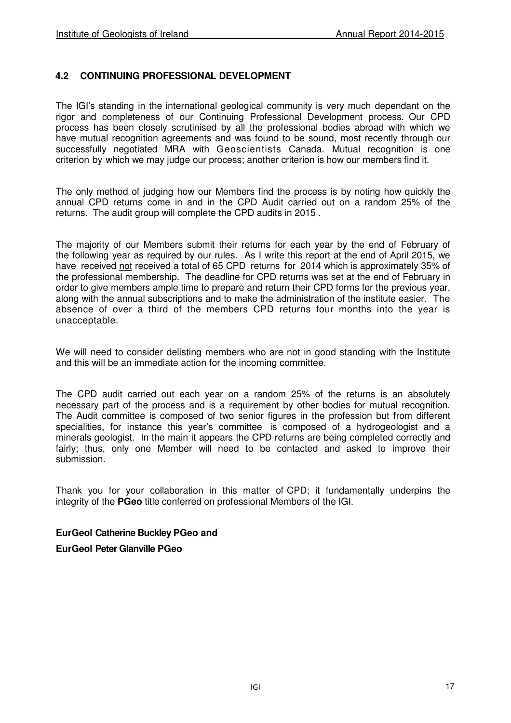## **4.2 CONTINUING PROFESSIONAL DEVELOPMENT**

The IGI's standing in the international geological community is very much dependant on the rigor and completeness of our Continuing Professional Development process. Our CPD process has been closely scrutinised by all the professional bodies abroad with which we have mutual recognition agreements and was found to be sound, most recently through our successfully negotiated MRA with Geoscientists Canada. Mutual recognition is one criterion by which we may judge our process; another criterion is how our members find it.

The only method of judging how our Members find the process is by noting how quickly the annual CPD returns come in and in the CPD Audit carried out on a random 25% of the returns. The audit group will complete the CPD audits in 2015 .

The majority of our Members submit their returns for each year by the end of February of the following year as required by our rules. As I write this report at the end of April 2015, we have received not received a total of 65 CPD returns for 2014 which is approximately 35% of the professional membership. The deadline for CPD returns was set at the end of February in order to give members ample time to prepare and return their CPD forms for the previous year, along with the annual subscriptions and to make the administration of the institute easier. The absence of over a third of the members CPD returns four months into the year is unacceptable.

We will need to consider delisting members who are not in good standing with the Institute and this will be an immediate action for the incoming committee.

The CPD audit carried out each year on a random 25% of the returns is an absolutely necessary part of the process and is a requirement by other bodies for mutual recognition. The Audit committee is composed of two senior figures in the profession but from different specialities, for instance this year's committee is composed of a hydrogeologist and a minerals geologist. In the main it appears the CPD returns are being completed correctly and fairly; thus, only one Member will need to be contacted and asked to improve their submission.

Thank you for your collaboration in this matter of CPD; it fundamentally underpins the integrity of the **PGeo** title conferred on professional Members of the IGI.

#### **EurGeol Catherine Buckley PGeo and**

**EurGeol Peter Glanville PGeo**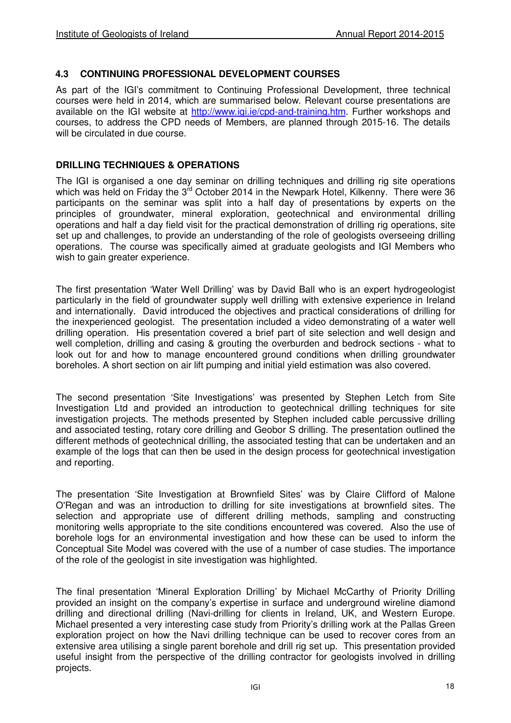#### **4.3 CONTINUING PROFESSIONAL DEVELOPMENT COURSES**

As part of the IGI's commitment to Continuing Professional Development, three technical courses were held in 2014, which are summarised below. Relevant course presentations are available on the IGI website at http://www.igi.je/cpd-and-training.htm. Further workshops and courses, to address the CPD needs of Members, are planned through 2015-16. The details will be circulated in due course.

#### **DRILLING TECHNIQUES & OPERATIONS**

The IGI is organised a one day seminar on drilling techniques and drilling rig site operations which was held on Friday the 3<sup>rd</sup> October 2014 in the Newpark Hotel, Kilkenny. There were 36 participants on the seminar was split into a half day of presentations by experts on the principles of groundwater, mineral exploration, geotechnical and environmental drilling operations and half a day field visit for the practical demonstration of drilling rig operations, site set up and challenges, to provide an understanding of the role of geologists overseeing drilling operations. The course was specifically aimed at graduate geologists and IGI Members who wish to gain greater experience.

The first presentation 'Water Well Drilling' was by David Ball who is an expert hydrogeologist particularly in the field of groundwater supply well drilling with extensive experience in Ireland and internationally. David introduced the objectives and practical considerations of drilling for the inexperienced geologist. The presentation included a video demonstrating of a water well drilling operation. His presentation covered a brief part of site selection and well design and well completion, drilling and casing & grouting the overburden and bedrock sections - what to look out for and how to manage encountered ground conditions when drilling groundwater boreholes. A short section on air lift pumping and initial yield estimation was also covered.

The second presentation 'Site Investigations' was presented by Stephen Letch from Site Investigation Ltd and provided an introduction to geotechnical drilling techniques for site investigation projects. The methods presented by Stephen included cable percussive drilling and associated testing, rotary core drilling and Geobor S drilling. The presentation outlined the different methods of geotechnical drilling, the associated testing that can be undertaken and an example of the logs that can then be used in the design process for geotechnical investigation and reporting.

The presentation 'Site Investigation at Brownfield Sites' was by Claire Clifford of Malone O'Regan and was an introduction to drilling for site investigations at brownfield sites. The selection and appropriate use of different drilling methods, sampling and constructing monitoring wells appropriate to the site conditions encountered was covered. Also the use of borehole logs for an environmental investigation and how these can be used to inform the Conceptual Site Model was covered with the use of a number of case studies. The importance of the role of the geologist in site investigation was highlighted.

The final presentation 'Mineral Exploration Drilling' by Michael McCarthy of Priority Drilling provided an insight on the company's expertise in surface and underground wireline diamond drilling and directional drilling (Navi-drilling for clients in Ireland, UK, and Western Europe. Michael presented a very interesting case study from Priority's drilling work at the Pallas Green exploration project on how the Navi drilling technique can be used to recover cores from an extensive area utilising a single parent borehole and drill rig set up. This presentation provided useful insight from the perspective of the drilling contractor for geologists involved in drilling projects.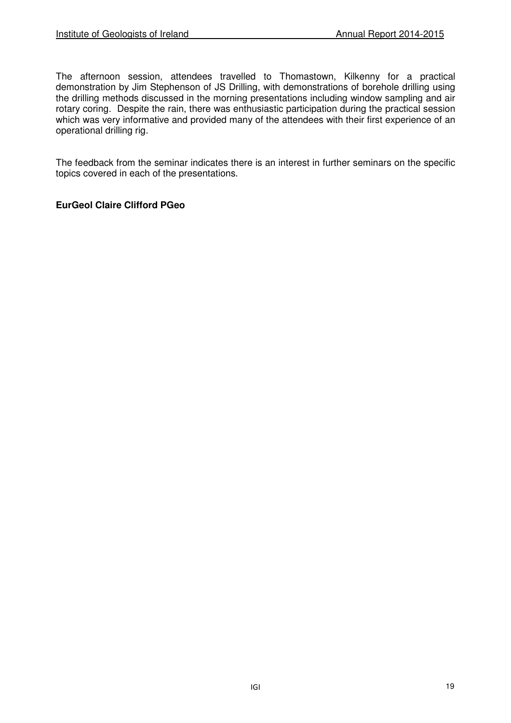The afternoon session, attendees travelled to Thomastown, Kilkenny for a practical demonstration by Jim Stephenson of JS Drilling, with demonstrations of borehole drilling using the drilling methods discussed in the morning presentations including window sampling and air rotary coring. Despite the rain, there was enthusiastic participation during the practical session which was very informative and provided many of the attendees with their first experience of an operational drilling rig.

The feedback from the seminar indicates there is an interest in further seminars on the specific topics covered in each of the presentations.

## **EurGeol Claire Clifford PGeo**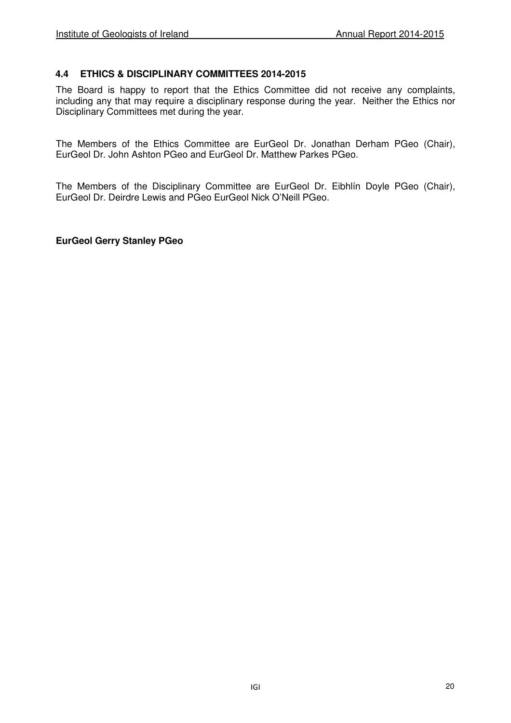## **4.4 ETHICS & DISCIPLINARY COMMITTEES 2014-2015**

The Board is happy to report that the Ethics Committee did not receive any complaints, including any that may require a disciplinary response during the year. Neither the Ethics nor Disciplinary Committees met during the year.

The Members of the Ethics Committee are EurGeol Dr. Jonathan Derham PGeo (Chair), EurGeol Dr. John Ashton PGeo and EurGeol Dr. Matthew Parkes PGeo.

The Members of the Disciplinary Committee are EurGeol Dr. Eibhlín Doyle PGeo (Chair), EurGeol Dr. Deirdre Lewis and PGeo EurGeol Nick O'Neill PGeo.

**EurGeol Gerry Stanley PGeo**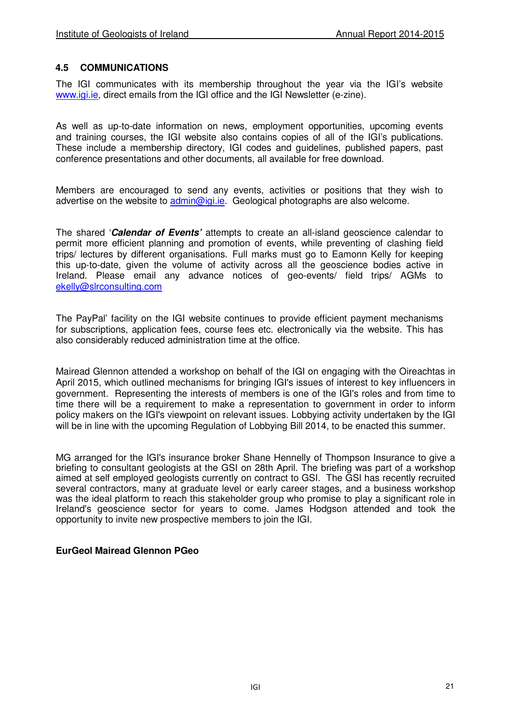#### **4.5 COMMUNICATIONS**

The IGI communicates with its membership throughout the year via the IGI's website www.igi.ie, direct emails from the IGI office and the IGI Newsletter (e-zine).

As well as up-to-date information on news, employment opportunities, upcoming events and training courses, the IGI website also contains copies of all of the IGI's publications. These include a membership directory, IGI codes and guidelines, published papers, past conference presentations and other documents, all available for free download.

Members are encouraged to send any events, activities or positions that they wish to advertise on the website to admin@igi.ie. Geological photographs are also welcome.

The shared '**Calendar of Events'** attempts to create an all-island geoscience calendar to permit more efficient planning and promotion of events, while preventing of clashing field trips/ lectures by different organisations. Full marks must go to Eamonn Kelly for keeping this up-to-date, given the volume of activity across all the geoscience bodies active in Ireland. Please email any advance notices of geo-events/ field trips/ AGMs to ekelly@slrconsulting.com

The PayPal' facility on the IGI website continues to provide efficient payment mechanisms for subscriptions, application fees, course fees etc. electronically via the website. This has also considerably reduced administration time at the office.

Mairead Glennon attended a workshop on behalf of the IGI on engaging with the Oireachtas in April 2015, which outlined mechanisms for bringing IGI's issues of interest to key influencers in government. Representing the interests of members is one of the IGI's roles and from time to time there will be a requirement to make a representation to government in order to inform policy makers on the IGI's viewpoint on relevant issues. Lobbying activity undertaken by the IGI will be in line with the upcoming Regulation of Lobbying Bill 2014, to be enacted this summer.

MG arranged for the IGI's insurance broker Shane Hennelly of Thompson Insurance to give a briefing to consultant geologists at the GSI on 28th April. The briefing was part of a workshop aimed at self employed geologists currently on contract to GSI. The GSI has recently recruited several contractors, many at graduate level or early career stages, and a business workshop was the ideal platform to reach this stakeholder group who promise to play a significant role in Ireland's geoscience sector for years to come. James Hodgson attended and took the opportunity to invite new prospective members to join the IGI.

#### **EurGeol Mairead Glennon PGeo**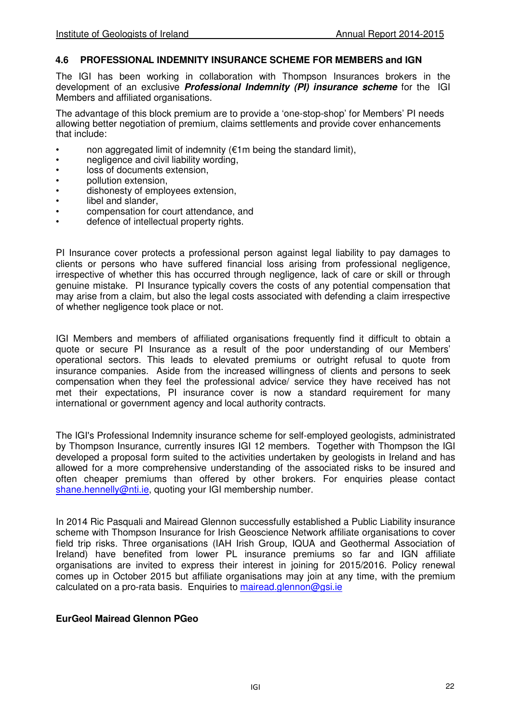#### **4.6 PROFESSIONAL INDEMNITY INSURANCE SCHEME FOR MEMBERS and IGN**

The IGI has been working in collaboration with Thompson Insurances brokers in the development of an exclusive **Professional Indemnity (PI) insurance scheme** for the IGI Members and affiliated organisations.

The advantage of this block premium are to provide a 'one-stop-shop' for Members' PI needs allowing better negotiation of premium, claims settlements and provide cover enhancements that include:

- non aggregated limit of indemnity ( $€1m$  being the standard limit),
- negligence and civil liability wording.
- loss of documents extension.
- pollution extension,
- dishonesty of employees extension,
- libel and slander.
- compensation for court attendance, and
- defence of intellectual property rights.

PI Insurance cover protects a professional person against legal liability to pay damages to clients or persons who have suffered financial loss arising from professional negligence, irrespective of whether this has occurred through negligence, lack of care or skill or through genuine mistake. PI Insurance typically covers the costs of any potential compensation that may arise from a claim, but also the legal costs associated with defending a claim irrespective of whether negligence took place or not.

IGI Members and members of affiliated organisations frequently find it difficult to obtain a quote or secure PI Insurance as a result of the poor understanding of our Members' operational sectors. This leads to elevated premiums or outright refusal to quote from insurance companies. Aside from the increased willingness of clients and persons to seek compensation when they feel the professional advice/ service they have received has not met their expectations, PI insurance cover is now a standard requirement for many international or government agency and local authority contracts.

The IGI's Professional Indemnity insurance scheme for self-employed geologists, administrated by Thompson Insurance, currently insures IGI 12 members. Together with Thompson the IGI developed a proposal form suited to the activities undertaken by geologists in Ireland and has allowed for a more comprehensive understanding of the associated risks to be insured and often cheaper premiums than offered by other brokers. For enquiries please contact shane.hennelly@nti.ie, quoting your IGI membership number.

In 2014 Ric Pasquali and Mairead Glennon successfully established a Public Liability insurance scheme with Thompson Insurance for Irish Geoscience Network affiliate organisations to cover field trip risks. Three organisations (IAH Irish Group, IQUA and Geothermal Association of Ireland) have benefited from lower PL insurance premiums so far and IGN affiliate organisations are invited to express their interest in joining for 2015/2016. Policy renewal comes up in October 2015 but affiliate organisations may join at any time, with the premium calculated on a pro-rata basis. Enquiries to mairead.glennon@gsi.ie

#### **EurGeol Mairead Glennon PGeo**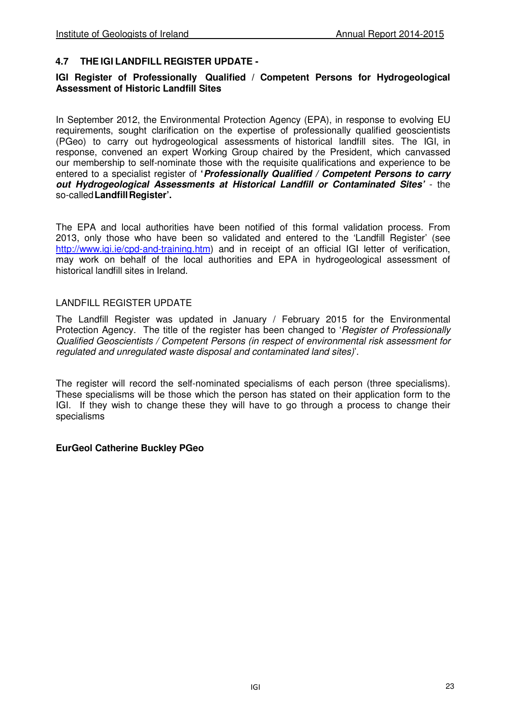#### **4.7 THE IGI LANDFILL REGISTER UPDATE -**

#### **IGI Register of Professionally Qualified / Competent Persons for Hydrogeological Assessment of Historic Landfill Sites**

In September 2012, the Environmental Protection Agency (EPA), in response to evolving EU requirements, sought clarification on the expertise of professionally qualified geoscientists (PGeo) to carry out hydrogeological assessments of historical landfill sites. The IGI, in response, convened an expert Working Group chaired by the President, which canvassed our membership to self-nominate those with the requisite qualifications and experience to be entered to a specialist register of **'Professionally Qualified / Competent Persons to carry out Hydrogeological Assessments at Historical Landfill or Contaminated Sites'** - the so-called **Landfill Register'.** 

The EPA and local authorities have been notified of this formal validation process. From 2013, only those who have been so validated and entered to the 'Landfill Register' (see http://www.igi.ie/cpd-and-training.htm) and in receipt of an official IGI letter of verification, may work on behalf of the local authorities and EPA in hydrogeological assessment of historical landfill sites in Ireland.

#### LANDFILL REGISTER UPDATE

The Landfill Register was updated in January / February 2015 for the Environmental Protection Agency. The title of the register has been changed to 'Register of Professionally Qualified Geoscientists / Competent Persons (in respect of environmental risk assessment for regulated and unregulated waste disposal and contaminated land sites)'.

The register will record the self-nominated specialisms of each person (three specialisms). These specialisms will be those which the person has stated on their application form to the IGI. If they wish to change these they will have to go through a process to change their specialisms

#### **EurGeol Catherine Buckley PGeo**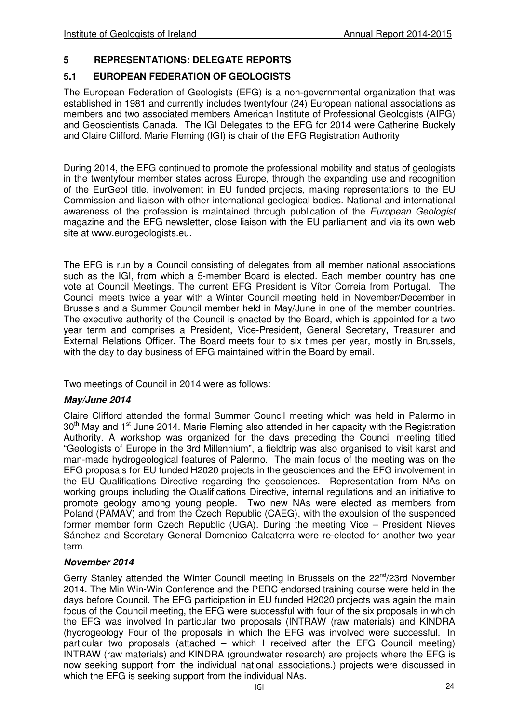## **5 REPRESENTATIONS: DELEGATE REPORTS**

## **5.1 EUROPEAN FEDERATION OF GEOLOGISTS**

The European Federation of Geologists (EFG) is a non-governmental organization that was established in 1981 and currently includes twentyfour (24) European national associations as members and two associated members American Institute of Professional Geologists (AIPG) and Geoscientists Canada. The IGI Delegates to the EFG for 2014 were Catherine Buckely and Claire Clifford. Marie Fleming (IGI) is chair of the EFG Registration Authority

During 2014, the EFG continued to promote the professional mobility and status of geologists in the twentyfour member states across Europe, through the expanding use and recognition of the EurGeol title, involvement in EU funded projects, making representations to the EU Commission and liaison with other international geological bodies. National and international awareness of the profession is maintained through publication of the European Geologist magazine and the EFG newsletter, close liaison with the EU parliament and via its own web site at www.eurogeologists.eu.

The EFG is run by a Council consisting of delegates from all member national associations such as the IGI, from which a 5-member Board is elected. Each member country has one vote at Council Meetings. The current EFG President is Vítor Correia from Portugal. The Council meets twice a year with a Winter Council meeting held in November/December in Brussels and a Summer Council member held in May/June in one of the member countries. The executive authority of the Council is enacted by the Board, which is appointed for a two year term and comprises a President, Vice-President, General Secretary, Treasurer and External Relations Officer. The Board meets four to six times per year, mostly in Brussels, with the day to day business of EFG maintained within the Board by email.

Two meetings of Council in 2014 were as follows:

## **May/June 2014**

Claire Clifford attended the formal Summer Council meeting which was held in Palermo in  $30<sup>th</sup>$  May and 1<sup>st</sup> June 2014. Marie Fleming also attended in her capacity with the Registration Authority. A workshop was organized for the days preceding the Council meeting titled "Geologists of Europe in the 3rd Millennium", a fieldtrip was also organised to visit karst and man-made hydrogeological features of Palermo. The main focus of the meeting was on the EFG proposals for EU funded H2020 projects in the geosciences and the EFG involvement in the EU Qualifications Directive regarding the geosciences. Representation from NAs on working groups including the Qualifications Directive, internal regulations and an initiative to promote geology among young people. Two new NAs were elected as members from Poland (PAMAV) and from the Czech Republic (CAEG), with the expulsion of the suspended former member form Czech Republic (UGA). During the meeting Vice – President Nieves Sánchez and Secretary General Domenico Calcaterra were re-elected for another two year term.

## **November 2014**

Gerry Stanley attended the Winter Council meeting in Brussels on the  $22^{nd}/23$ rd November 2014. The Min Win-Win Conference and the PERC endorsed training course were held in the days before Council. The EFG participation in EU funded H2020 projects was again the main focus of the Council meeting, the EFG were successful with four of the six proposals in which the EFG was involved In particular two proposals (INTRAW (raw materials) and KINDRA (hydrogeology Four of the proposals in which the EFG was involved were successful. In particular two proposals (attached – which I received after the EFG Council meeting) INTRAW (raw materials) and KINDRA (groundwater research) are projects where the EFG is now seeking support from the individual national associations.) projects were discussed in which the EFG is seeking support from the individual NAs.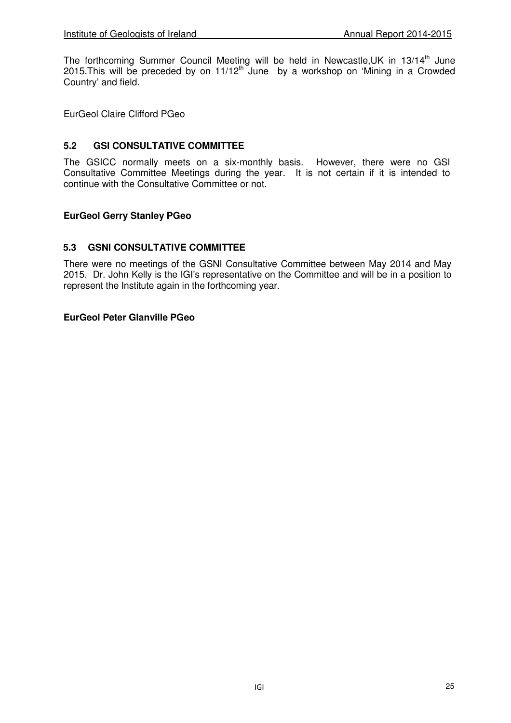The forthcoming Summer Council Meeting will be held in Newcastle, UK in 13/14<sup>th</sup> June 2015. This will be preceded by on  $11/12^{th}$  June by a workshop on 'Mining in a Crowded Country' and field.

EurGeol Claire Clifford PGeo

### **5.2 GSI CONSULTATIVE COMMITTEE**

The GSICC normally meets on a six-monthly basis. However, there were no GSI Consultative Committee Meetings during the year. It is not certain if it is intended to continue with the Consultative Committee or not.

#### **EurGeol Gerry Stanley PGeo**

#### **5.3 GSNI CONSULTATIVE COMMITTEE**

There were no meetings of the GSNI Consultative Committee between May 2014 and May 2015. Dr. John Kelly is the IGI's representative on the Committee and will be in a position to represent the Institute again in the forthcoming year.

#### **EurGeol Peter Glanville PGeo**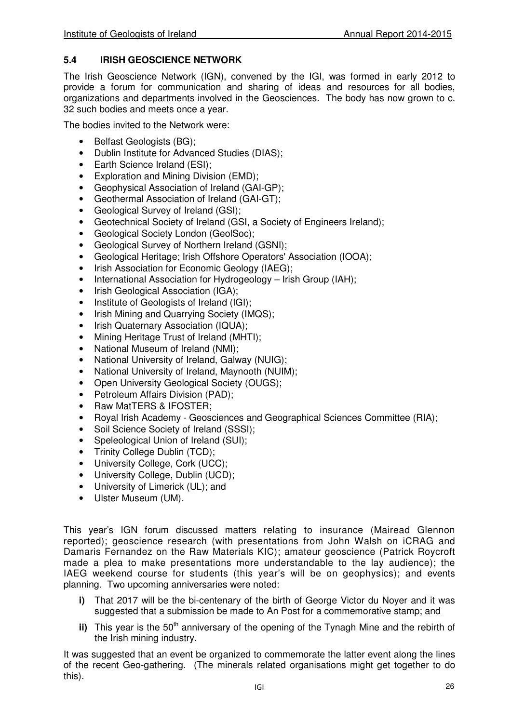## **5.4 IRISH GEOSCIENCE NETWORK**

The Irish Geoscience Network (IGN), convened by the IGI, was formed in early 2012 to provide a forum for communication and sharing of ideas and resources for all bodies, organizations and departments involved in the Geosciences. The body has now grown to c. 32 such bodies and meets once a year.

The bodies invited to the Network were:

- Belfast Geologists (BG);
- Dublin Institute for Advanced Studies (DIAS);
- Earth Science Ireland (ESI);
- Exploration and Mining Division (EMD);
- Geophysical Association of Ireland (GAI-GP);
- Geothermal Association of Ireland (GAI-GT);
- Geological Survey of Ireland (GSI);
- Geotechnical Society of Ireland (GSI, a Society of Engineers Ireland);
- Geological Society London (GeolSoc);
- Geological Survey of Northern Ireland (GSNI);
- Geological Heritage; Irish Offshore Operators' Association (IOOA);
- Irish Association for Economic Geology (IAEG);
- International Association for Hydrogeology Irish Group (IAH);
- Irish Geological Association (IGA):
- Institute of Geologists of Ireland (IGI);
- Irish Mining and Quarrying Society (IMQS);
- Irish Quaternary Association (IQUA);
- Mining Heritage Trust of Ireland (MHTI);
- National Museum of Ireland (NMI);
- National University of Ireland, Galway (NUIG);
- National University of Ireland, Maynooth (NUIM);
- Open University Geological Society (OUGS);
- Petroleum Affairs Division (PAD);
- Raw MatTERS & IFOSTER;
- Royal Irish Academy Geosciences and Geographical Sciences Committee (RIA);
- Soil Science Society of Ireland (SSSI);
- Speleological Union of Ireland (SUI):
- Trinity College Dublin (TCD);
- University College, Cork (UCC);
- University College, Dublin (UCD);
- University of Limerick (UL); and
- Ulster Museum (UM).

This year's IGN forum discussed matters relating to insurance (Mairead Glennon reported); geoscience research (with presentations from John Walsh on iCRAG and Damaris Fernandez on the Raw Materials KIC); amateur geoscience (Patrick Roycroft made a plea to make presentations more understandable to the lay audience); the IAEG weekend course for students (this year's will be on geophysics); and events planning. Two upcoming anniversaries were noted:

- **i)** That 2017 will be the bi-centenary of the birth of George Victor du Noyer and it was suggested that a submission be made to An Post for a commemorative stamp; and
- **ii)** This year is the 50<sup>th</sup> anniversary of the opening of the Tynagh Mine and the rebirth of the Irish mining industry.

It was suggested that an event be organized to commemorate the latter event along the lines of the recent Geo-gathering. (The minerals related organisations might get together to do this).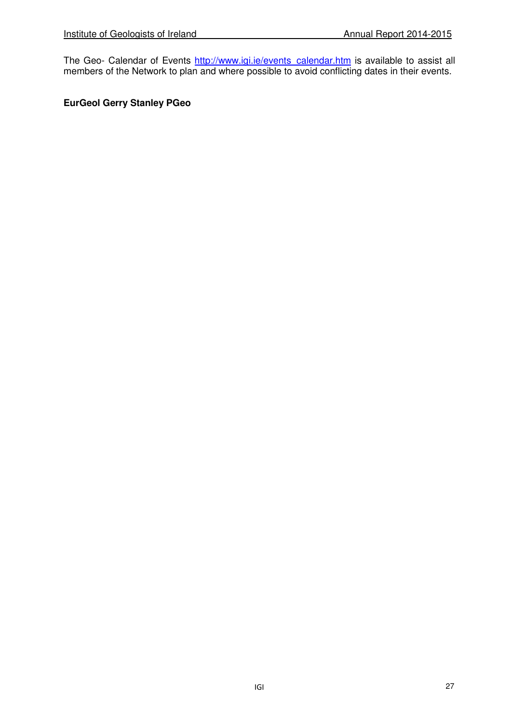The Geo- Calendar of Events http://www.igi.ie/events calendar.htm is available to assist all members of the Network to plan and where possible to avoid conflicting dates in their events.

## **EurGeol Gerry Stanley PGeo**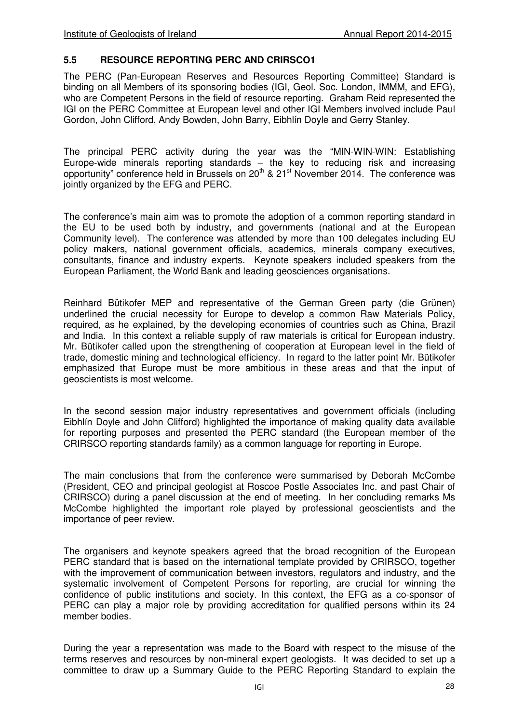#### **5.5 RESOURCE REPORTING PERC AND CRIRSCO1**

The PERC (Pan-European Reserves and Resources Reporting Committee) Standard is binding on all Members of its sponsoring bodies (IGI, Geol. Soc. London, IMMM, and EFG), who are Competent Persons in the field of resource reporting. Graham Reid represented the IGI on the PERC Committee at European level and other IGI Members involved include Paul Gordon, John Clifford, Andy Bowden, John Barry, Eibhlín Doyle and Gerry Stanley.

The principal PERC activity during the year was the "MIN-WIN-WIN: Establishing Europe‐wide minerals reporting standards – the key to reducing risk and increasing opportunity" conference held in Brussels on 20th & 21st November 2014. The conference was jointly organized by the EFG and PERC.

The conference's main aim was to promote the adoption of a common reporting standard in the EU to be used both by industry, and governments (national and at the European Community level). The conference was attended by more than 100 delegates including EU policy makers, national government officials, academics, minerals company executives, consultants, finance and industry experts. Keynote speakers included speakers from the European Parliament, the World Bank and leading geosciences organisations.

Reinhard Bütikofer MEP and representative of the German Green party (die Grünen) underlined the crucial necessity for Europe to develop a common Raw Materials Policy, required, as he explained, by the developing economies of countries such as China, Brazil and India. In this context a reliable supply of raw materials is critical for European industry. Mr. Bütikofer called upon the strengthening of cooperation at European level in the field of trade, domestic mining and technological efficiency. In regard to the latter point Mr. Bütikofer emphasized that Europe must be more ambitious in these areas and that the input of geoscientists is most welcome.

In the second session major industry representatives and government officials (including Eibhlín Doyle and John Clifford) highlighted the importance of making quality data available for reporting purposes and presented the PERC standard (the European member of the CRIRSCO reporting standards family) as a common language for reporting in Europe.

The main conclusions that from the conference were summarised by Deborah McCombe (President, CEO and principal geologist at Roscoe Postle Associates Inc. and past Chair of CRIRSCO) during a panel discussion at the end of meeting. In her concluding remarks Ms McCombe highlighted the important role played by professional geoscientists and the importance of peer review.

The organisers and keynote speakers agreed that the broad recognition of the European PERC standard that is based on the international template provided by CRIRSCO, together with the improvement of communication between investors, regulators and industry, and the systematic involvement of Competent Persons for reporting, are crucial for winning the confidence of public institutions and society. In this context, the EFG as a co-sponsor of PERC can play a major role by providing accreditation for qualified persons within its 24 member bodies.

During the year a representation was made to the Board with respect to the misuse of the terms reserves and resources by non-mineral expert geologists. It was decided to set up a committee to draw up a Summary Guide to the PERC Reporting Standard to explain the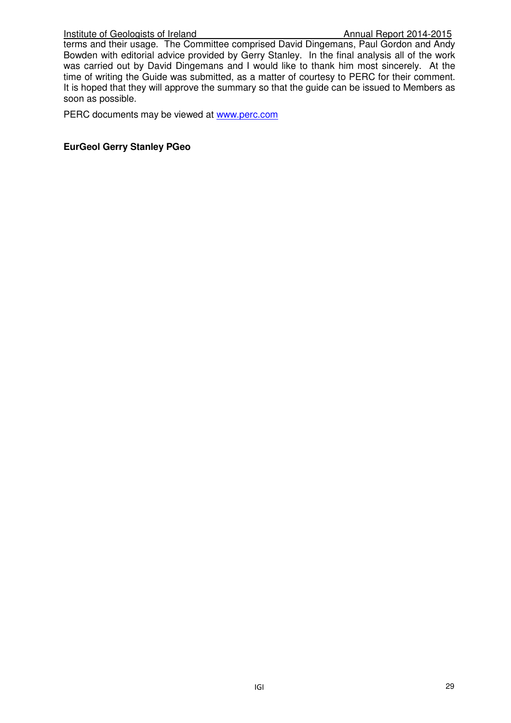#### Institute of Geologists of Ireland Annual Report 2014-2015

terms and their usage. The Committee comprised David Dingemans, Paul Gordon and Andy Bowden with editorial advice provided by Gerry Stanley. In the final analysis all of the work was carried out by David Dingemans and I would like to thank him most sincerely. At the time of writing the Guide was submitted, as a matter of courtesy to PERC for their comment. It is hoped that they will approve the summary so that the guide can be issued to Members as soon as possible.

PERC documents may be viewed at www.perc.com

#### **EurGeol Gerry Stanley PGeo**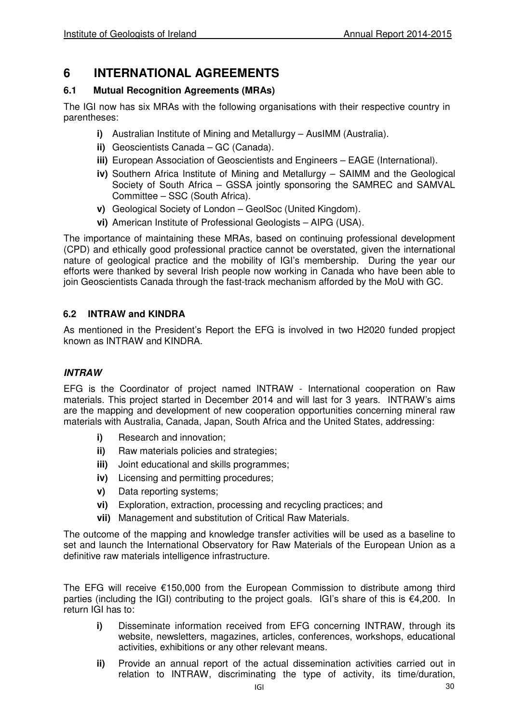## **6 INTERNATIONAL AGREEMENTS**

## **6.1 Mutual Recognition Agreements (MRAs)**

The IGI now has six MRAs with the following organisations with their respective country in parentheses:

- **i)** Australian Institute of Mining and Metallurgy AusIMM (Australia).
- **ii)** Geoscientists Canada GC (Canada).
- **iii)** European Association of Geoscientists and Engineers EAGE (International).
- **iv)** Southern Africa Institute of Mining and Metallurgy SAIMM and the Geological Society of South Africa – GSSA jointly sponsoring the SAMREC and SAMVAL Committee – SSC (South Africa).
- **v)** Geological Society of London GeolSoc (United Kingdom).
- **vi)** American Institute of Professional Geologists AIPG (USA).

The importance of maintaining these MRAs, based on continuing professional development (CPD) and ethically good professional practice cannot be overstated, given the international nature of geological practice and the mobility of IGI's membership. During the year our efforts were thanked by several Irish people now working in Canada who have been able to join Geoscientists Canada through the fast-track mechanism afforded by the MoU with GC.

## **6.2 INTRAW and KINDRA**

As mentioned in the President's Report the EFG is involved in two H2020 funded propject known as INTRAW and KINDRA.

## **INTRAW**

EFG is the Coordinator of project named INTRAW - International cooperation on Raw materials. This project started in December 2014 and will last for 3 years. INTRAW's aims are the mapping and development of new cooperation opportunities concerning mineral raw materials with Australia, Canada, Japan, South Africa and the United States, addressing:

- **i)** Research and innovation:
- **ii)** Raw materials policies and strategies;
- **iii)** Joint educational and skills programmes;
- **iv)** Licensing and permitting procedures;
- **v)** Data reporting systems;
- **vi)** Exploration, extraction, processing and recycling practices; and
- **vii)** Management and substitution of Critical Raw Materials.

The outcome of the mapping and knowledge transfer activities will be used as a baseline to set and launch the International Observatory for Raw Materials of the European Union as a definitive raw materials intelligence infrastructure.

The EFG will receive €150,000 from the European Commission to distribute among third parties (including the IGI) contributing to the project goals. IGI's share of this is €4,200. In return IGI has to:

- **i)** Disseminate information received from EFG concerning INTRAW, through its website, newsletters, magazines, articles, conferences, workshops, educational activities, exhibitions or any other relevant means.
- **ii)** Provide an annual report of the actual dissemination activities carried out in relation to INTRAW, discriminating the type of activity, its time/duration,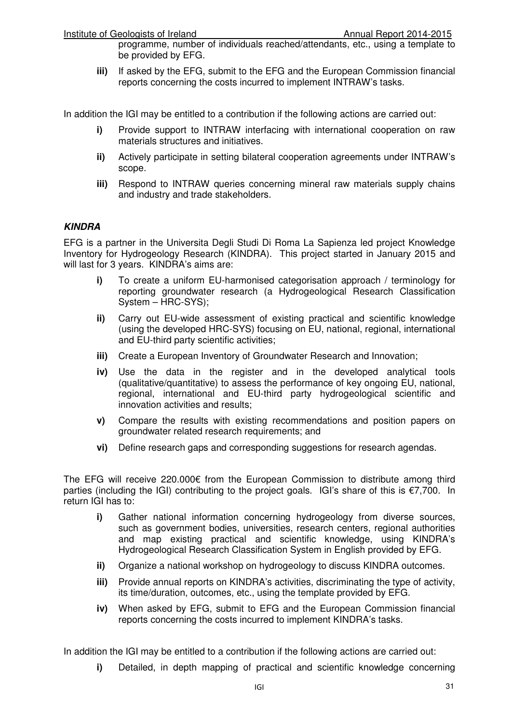programme, number of individuals reached/attendants, etc., using a template to be provided by EFG.

**iii)** If asked by the EFG, submit to the EFG and the European Commission financial reports concerning the costs incurred to implement INTRAW's tasks.

In addition the IGI may be entitled to a contribution if the following actions are carried out:

- **i)** Provide support to INTRAW interfacing with international cooperation on raw materials structures and initiatives.
- **ii)** Actively participate in setting bilateral cooperation agreements under INTRAW's scope.
- **iii)** Respond to INTRAW queries concerning mineral raw materials supply chains and industry and trade stakeholders.

#### **KINDRA**

EFG is a partner in the Universita Degli Studi Di Roma La Sapienza led project Knowledge Inventory for Hydrogeology Research (KINDRA). This project started in January 2015 and will last for 3 years. KINDRA's aims are:

- **i)** To create a uniform EU-harmonised categorisation approach / terminology for reporting groundwater research (a Hydrogeological Research Classification System – HRC-SYS);
- **ii)** Carry out EU-wide assessment of existing practical and scientific knowledge (using the developed HRC-SYS) focusing on EU, national, regional, international and EU-third party scientific activities;
- **iii)** Create a European Inventory of Groundwater Research and Innovation;
- **iv)** Use the data in the register and in the developed analytical tools (qualitative/quantitative) to assess the performance of key ongoing EU, national, regional, international and EU-third party hydrogeological scientific and innovation activities and results;
- **v)** Compare the results with existing recommendations and position papers on groundwater related research requirements; and
- **vi)** Define research gaps and corresponding suggestions for research agendas.

The EFG will receive 220.000€ from the European Commission to distribute among third parties (including the IGI) contributing to the project goals. IGI's share of this is €7,700. In return IGI has to:

- **i)** Gather national information concerning hydrogeology from diverse sources, such as government bodies, universities, research centers, regional authorities and map existing practical and scientific knowledge, using KINDRA's Hydrogeological Research Classification System in English provided by EFG.
- **ii)** Organize a national workshop on hydrogeology to discuss KINDRA outcomes.
- **iii)** Provide annual reports on KINDRA's activities, discriminating the type of activity, its time/duration, outcomes, etc., using the template provided by EFG.
- **iv)** When asked by EFG, submit to EFG and the European Commission financial reports concerning the costs incurred to implement KINDRA's tasks.

In addition the IGI may be entitled to a contribution if the following actions are carried out:

**i)** Detailed, in depth mapping of practical and scientific knowledge concerning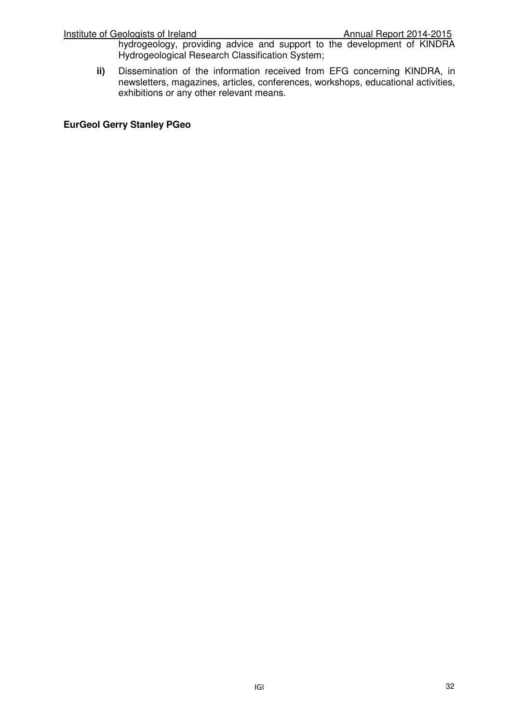hydrogeology, providing advice and support to the development of KINDRA Hydrogeological Research Classification System;

**ii)** Dissemination of the information received from EFG concerning KINDRA, in newsletters, magazines, articles, conferences, workshops, educational activities, exhibitions or any other relevant means.

#### **EurGeol Gerry Stanley PGeo**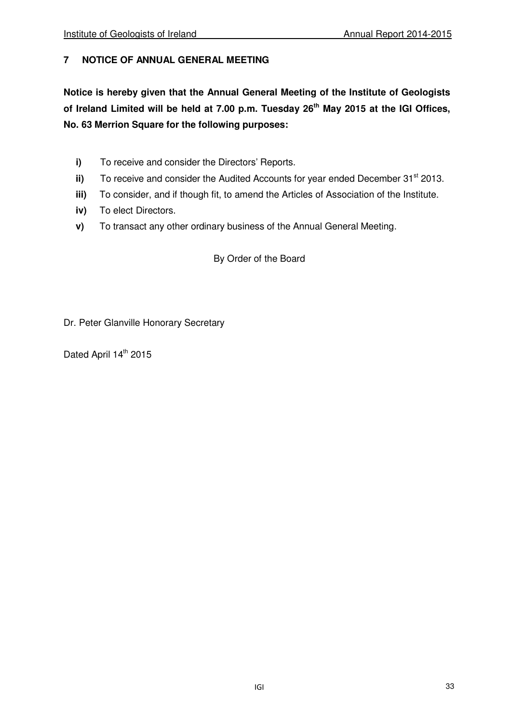## **7 NOTICE OF ANNUAL GENERAL MEETING**

**Notice is hereby given that the Annual General Meeting of the Institute of Geologists of Ireland Limited will be held at 7.00 p.m. Tuesday 26th May 2015 at the IGI Offices, No. 63 Merrion Square for the following purposes:** 

- **i)** To receive and consider the Directors' Reports.
- **ii)** To receive and consider the Audited Accounts for year ended December 31<sup>st</sup> 2013.
- **iii)** To consider, and if though fit, to amend the Articles of Association of the Institute.
- **iv)** To elect Directors.
- **v)** To transact any other ordinary business of the Annual General Meeting.

By Order of the Board

Dr. Peter Glanville Honorary Secretary

Dated April 14<sup>th</sup> 2015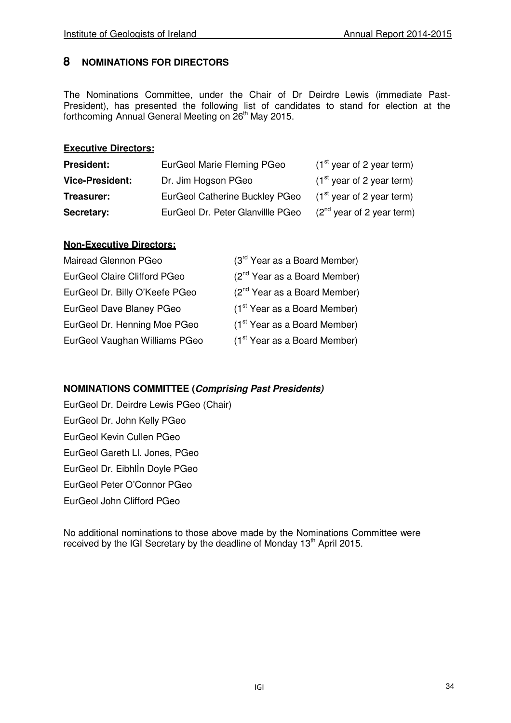## **8 NOMINATIONS FOR DIRECTORS**

The Nominations Committee, under the Chair of Dr Deirdre Lewis (immediate Past-President), has presented the following list of candidates to stand for election at the forthcoming Annual General Meeting on 26<sup>th</sup> May 2015.

### **Executive Directors:**

| <b>President:</b>      | EurGeol Marie Fleming PGeo        | $(1st$ year of 2 year term) |
|------------------------|-----------------------------------|-----------------------------|
| <b>Vice-President:</b> | Dr. Jim Hogson PGeo               | $(1st$ year of 2 year term) |
| Treasurer:             | EurGeol Catherine Buckley PGeo    | $(1st$ year of 2 year term) |
| Secretary:             | EurGeol Dr. Peter Glanvillle PGeo | $(2nd$ year of 2 year term) |

#### **Non-Executive Directors:**

| Mairead Glennon PGeo           | (3rd Year as a Board Member)             |
|--------------------------------|------------------------------------------|
| EurGeol Claire Clifford PGeo   | $(2^{nd}$ Year as a Board Member)        |
| EurGeol Dr. Billy O'Keefe PGeo | $(2^{nd}$ Year as a Board Member)        |
| EurGeol Dave Blaney PGeo       | $(1st Year as a Board Member)$           |
| EurGeol Dr. Henning Moe PGeo   | $(1st Year as a Board Member)$           |
| EurGeol Vaughan Williams PGeo  | (1 <sup>st</sup> Year as a Board Member) |

## **NOMINATIONS COMMITTEE (Comprising Past Presidents)**

EurGeol Dr. Deirdre Lewis PGeo (Chair) EurGeol Dr. John Kelly PGeo EurGeol Kevin Cullen PGeo EurGeol Gareth Ll. Jones, PGeo EurGeol Dr. EibhlÌn Doyle PGeo EurGeol Peter O'Connor PGeo EurGeol John Clifford PGeo

No additional nominations to those above made by the Nominations Committee were received by the IGI Secretary by the deadline of Monday 13<sup>th</sup> April 2015.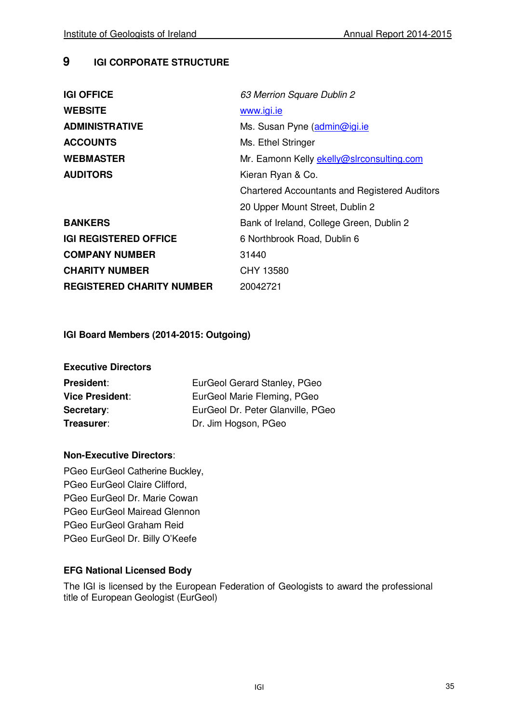## **9 IGI CORPORATE STRUCTURE**

| <b>IGI OFFICE</b>                | 63 Merrion Square Dublin 2                           |
|----------------------------------|------------------------------------------------------|
| <b>WEBSITE</b>                   | www.igi.ie                                           |
| <b>ADMINISTRATIVE</b>            | Ms. Susan Pyne (admin@igi.ie                         |
| <b>ACCOUNTS</b>                  | Ms. Ethel Stringer                                   |
| <b>WEBMASTER</b>                 | Mr. Eamonn Kelly ekelly@slrconsulting.com            |
| <b>AUDITORS</b>                  | Kieran Ryan & Co.                                    |
|                                  | <b>Chartered Accountants and Registered Auditors</b> |
|                                  | 20 Upper Mount Street, Dublin 2                      |
| <b>BANKERS</b>                   | Bank of Ireland, College Green, Dublin 2             |
| <b>IGI REGISTERED OFFICE</b>     | 6 Northbrook Road, Dublin 6                          |
| <b>COMPANY NUMBER</b>            | 31440                                                |
| <b>CHARITY NUMBER</b>            | CHY 13580                                            |
| <b>REGISTERED CHARITY NUMBER</b> | 20042721                                             |

## **IGI Board Members (2014-2015: Outgoing)**

| <b>Executive Directors</b> |                                   |
|----------------------------|-----------------------------------|
| President:                 | EurGeol Gerard Stanley, PGeo      |
| <b>Vice President:</b>     | EurGeol Marie Fleming, PGeo       |
| Secretary:                 | EurGeol Dr. Peter Glanville, PGeo |
| Treasurer:                 | Dr. Jim Hogson, PGeo              |

## **Non-Executive Directors**:

PGeo EurGeol Catherine Buckley, PGeo EurGeol Claire Clifford, PGeo EurGeol Dr. Marie Cowan PGeo EurGeol Mairead Glennon PGeo EurGeol Graham Reid PGeo EurGeol Dr. Billy O'Keefe

## **EFG National Licensed Body**

The IGI is licensed by the European Federation of Geologists to award the professional title of European Geologist (EurGeol)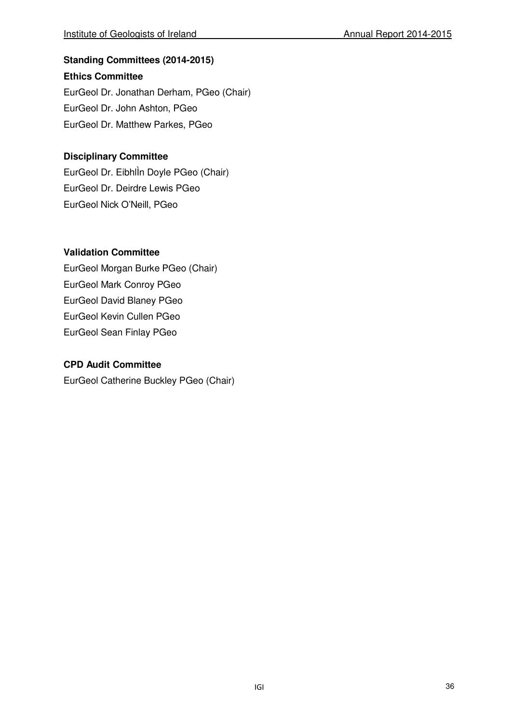## **Standing Committees (2014-2015)**

## **Ethics Committee**

EurGeol Dr. Jonathan Derham, PGeo (Chair) EurGeol Dr. John Ashton, PGeo EurGeol Dr. Matthew Parkes, PGeo

## **Disciplinary Committee**

EurGeol Dr. EibhlÌn Doyle PGeo (Chair) EurGeol Dr. Deirdre Lewis PGeo EurGeol Nick O'Neill, PGeo

## **Validation Committee**

EurGeol Morgan Burke PGeo (Chair) EurGeol Mark Conroy PGeo EurGeol David Blaney PGeo EurGeol Kevin Cullen PGeo EurGeol Sean Finlay PGeo

## **CPD Audit Committee**

EurGeol Catherine Buckley PGeo (Chair)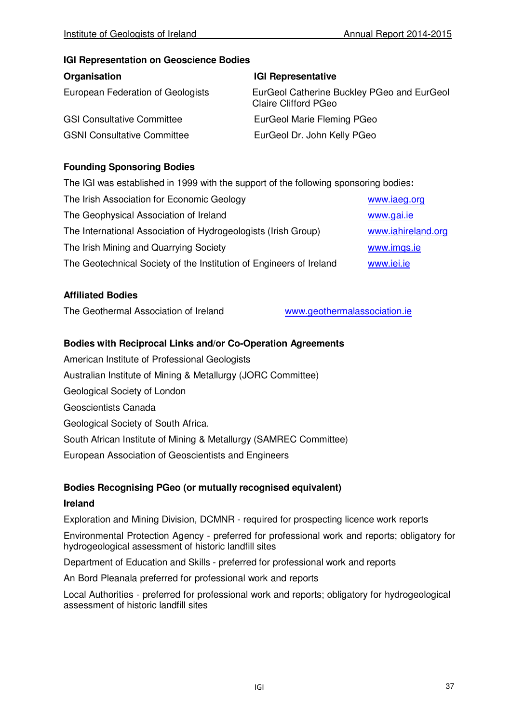#### **IGI Representation on Geoscience Bodies**

| Organisation                       | <b>IGI Representative</b>                                                 |
|------------------------------------|---------------------------------------------------------------------------|
| European Federation of Geologists  | EurGeol Catherine Buckley PGeo and EurGeol<br><b>Claire Clifford PGeo</b> |
| <b>GSI Consultative Committee</b>  | EurGeol Marie Fleming PGeo                                                |
| <b>GSNI Consultative Committee</b> | EurGeol Dr. John Kelly PGeo                                               |

## **Founding Sponsoring Bodies**

The IGI was established in 1999 with the support of the following sponsoring bodies**:** 

| The Irish Association for Economic Geology                          | www.iaeg.org       |
|---------------------------------------------------------------------|--------------------|
| The Geophysical Association of Ireland                              | www.gai.ie         |
| The International Association of Hydrogeologists (Irish Group)      | www.iahireland.org |
| The Irish Mining and Quarrying Society                              | www.imqs.ie        |
| The Geotechnical Society of the Institution of Engineers of Ireland | www.iei.ie         |
|                                                                     |                    |

#### **Affiliated Bodies**

The Geothermal Association of Ireland www.geothermalassociation.ie

#### **Bodies with Reciprocal Links and/or Co-Operation Agreements**

American Institute of Professional Geologists Australian Institute of Mining & Metallurgy (JORC Committee) Geological Society of London Geoscientists Canada Geological Society of South Africa. South African Institute of Mining & Metallurgy (SAMREC Committee) European Association of Geoscientists and Engineers

## **Bodies Recognising PGeo (or mutually recognised equivalent)**

#### **Ireland**

Exploration and Mining Division, DCMNR - required for prospecting licence work reports

Environmental Protection Agency - preferred for professional work and reports; obligatory for hydrogeological assessment of historic landfill sites

Department of Education and Skills - preferred for professional work and reports

An Bord Pleanala preferred for professional work and reports

Local Authorities - preferred for professional work and reports; obligatory for hydrogeological assessment of historic landfill sites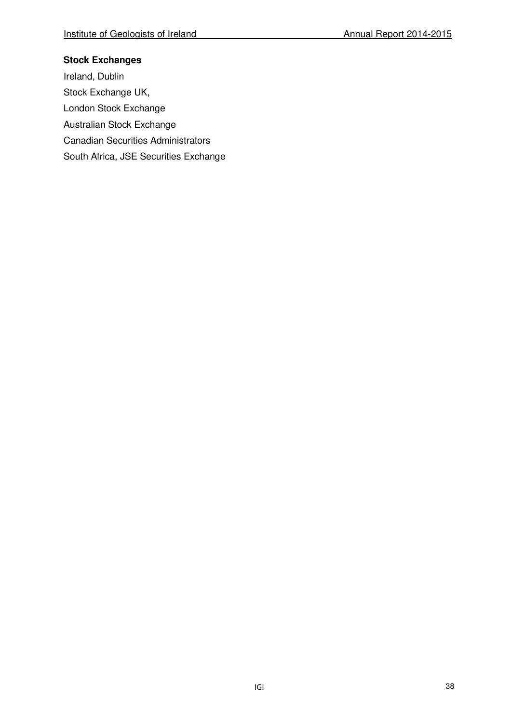## **Stock Exchanges**

Ireland, Dublin Stock Exchange UK, London Stock Exchange Australian Stock Exchange Canadian Securities Administrators South Africa, JSE Securities Exchange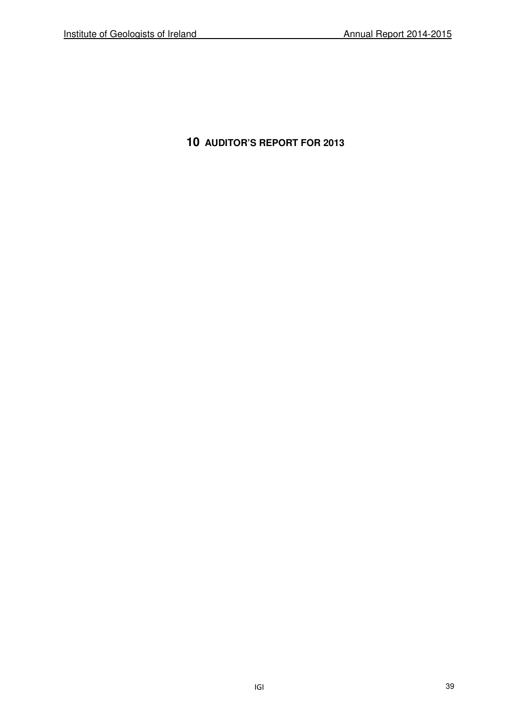**10 AUDITOR'S REPORT FOR 2013**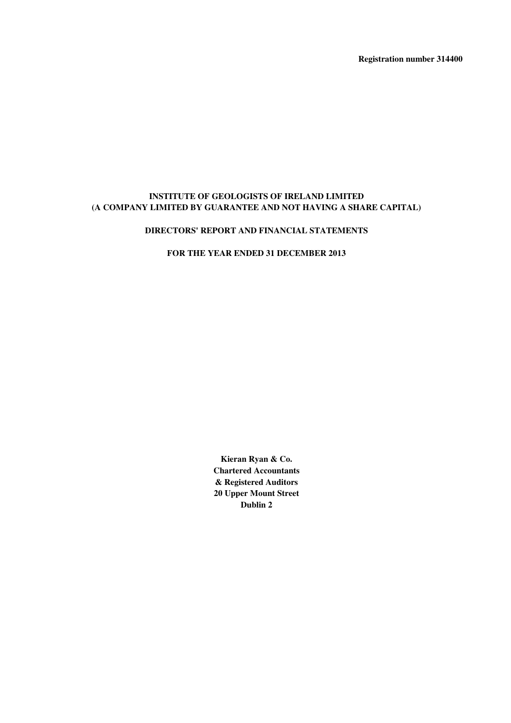**Registration number 314400**

#### **INSTITUTE OF GEOLOGISTS OF IRELAND LIMITED (A COMPANY LIMITED BY GUARANTEE AND NOT HAVING A SHARE CAPITAL)**

#### **DIRECTORS' REPORT AND FINANCIAL STATEMENTS**

**FOR THE YEAR ENDED 31 DECEMBER 2013**

**Kieran Ryan & Co. Chartered Accountants & Registered Auditors 20 Upper Mount Street Dublin 2**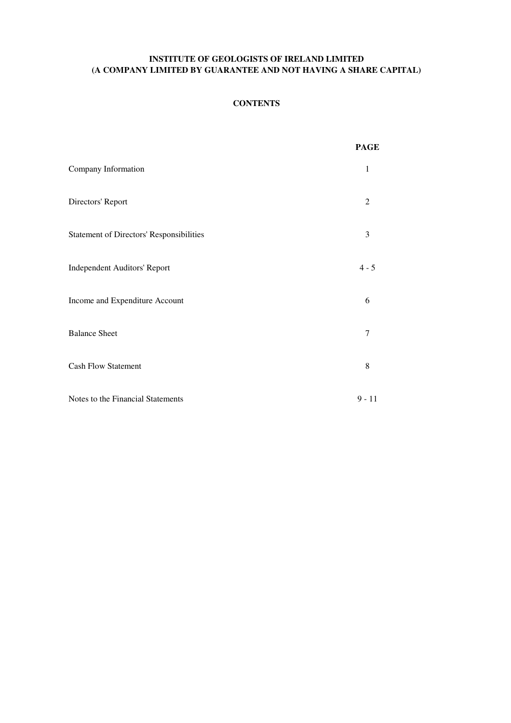#### **CONTENTS**

|                                                 | <b>PAGE</b> |
|-------------------------------------------------|-------------|
| Company Information                             | 1           |
| Directors' Report                               | 2           |
| <b>Statement of Directors' Responsibilities</b> | 3           |
| Independent Auditors' Report                    | $4 - 5$     |
| Income and Expenditure Account                  | 6           |
| <b>Balance Sheet</b>                            | 7           |
| <b>Cash Flow Statement</b>                      | 8           |
| Notes to the Financial Statements               | $9 - 11$    |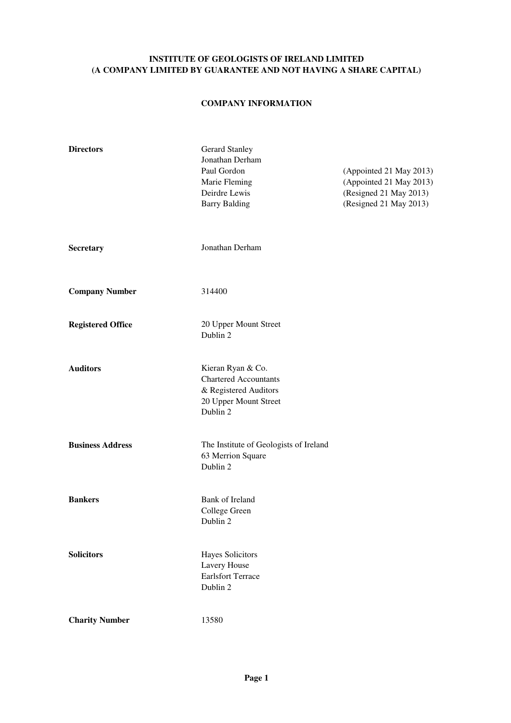#### **COMPANY INFORMATION**

| <b>Directors</b>         | <b>Gerard Stanley</b><br>Jonathan Derham<br>Paul Gordon<br>Marie Fleming<br>Deirdre Lewis<br><b>Barry Balding</b> | (Appointed 21 May 2013)<br>(Appointed 21 May 2013)<br>(Resigned 21 May 2013)<br>(Resigned 21 May 2013) |
|--------------------------|-------------------------------------------------------------------------------------------------------------------|--------------------------------------------------------------------------------------------------------|
| <b>Secretary</b>         | Jonathan Derham                                                                                                   |                                                                                                        |
| <b>Company Number</b>    | 314400                                                                                                            |                                                                                                        |
| <b>Registered Office</b> | 20 Upper Mount Street<br>Dublin 2                                                                                 |                                                                                                        |
| <b>Auditors</b>          | Kieran Ryan & Co.<br><b>Chartered Accountants</b><br>& Registered Auditors<br>20 Upper Mount Street<br>Dublin 2   |                                                                                                        |
| <b>Business Address</b>  | The Institute of Geologists of Ireland<br>63 Merrion Square<br>Dublin 2                                           |                                                                                                        |
| <b>Bankers</b>           | Bank of Ireland<br>College Green<br>Dublin 2                                                                      |                                                                                                        |
| <b>Solicitors</b>        | <b>Hayes Solicitors</b><br>Lavery House<br><b>Earlsfort Terrace</b><br>Dublin 2                                   |                                                                                                        |
| <b>Charity Number</b>    | 13580                                                                                                             |                                                                                                        |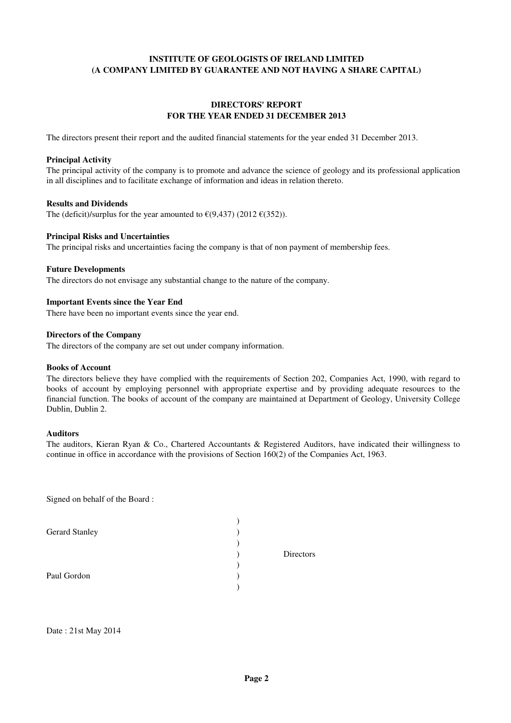#### **DIRECTORS' REPORT FOR THE YEAR ENDED 31 DECEMBER 2013**

The directors present their report and the audited financial statements for the year ended 31 December 2013.

#### **Principal Activity**

The principal activity of the company is to promote and advance the science of geology and its professional application in all disciplines and to facilitate exchange of information and ideas in relation thereto.

#### **Results and Dividends**

The (deficit)/surplus for the year amounted to  $\epsilon$ (9,437) (2012  $\epsilon$ (352)).

#### **Principal Risks and Uncertainties**

The principal risks and uncertainties facing the company is that of non payment of membership fees.

#### **Future Developments**

The directors do not envisage any substantial change to the nature of the company.

#### **Important Events since the Year End**

There have been no important events since the year end.

#### **Directors of the Company**

The directors of the company are set out under company information.

#### **Books of Account**

The directors believe they have complied with the requirements of Section 202, Companies Act, 1990, with regard to books of account by employing personnel with appropriate expertise and by providing adequate resources to the financial function. The books of account of the company are maintained at Department of Geology, University College Dublin, Dublin 2.

#### **Auditors**

The auditors, Kieran Ryan & Co., Chartered Accountants & Registered Auditors, have indicated their willingness to continue in office in accordance with the provisions of Section 160(2) of the Companies Act, 1963.

Signed on behalf of the Board :

| <b>Gerard Stanley</b> |           |
|-----------------------|-----------|
|                       |           |
|                       | Directors |
|                       |           |
| Paul Gordon           |           |
|                       |           |

Date : 21st May 2014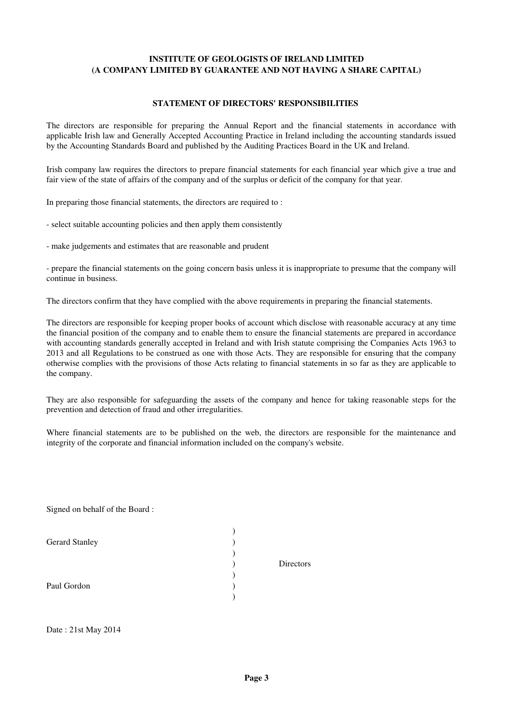#### **STATEMENT OF DIRECTORS' RESPONSIBILITIES**

The directors are responsible for preparing the Annual Report and the financial statements in accordance with applicable Irish law and Generally Accepted Accounting Practice in Ireland including the accounting standards issued by the Accounting Standards Board and published by the Auditing Practices Board in the UK and Ireland.

Irish company law requires the directors to prepare financial statements for each financial year which give a true and fair view of the state of affairs of the company and of the surplus or deficit of the company for that year.

In preparing those financial statements, the directors are required to :

- select suitable accounting policies and then apply them consistently

- make judgements and estimates that are reasonable and prudent

- prepare the financial statements on the going concern basis unless it is inappropriate to presume that the company will continue in business.

The directors confirm that they have complied with the above requirements in preparing the financial statements.

The directors are responsible for keeping proper books of account which disclose with reasonable accuracy at any time the financial position of the company and to enable them to ensure the financial statements are prepared in accordance with accounting standards generally accepted in Ireland and with Irish statute comprising the Companies Acts 1963 to 2013 and all Regulations to be construed as one with those Acts. They are responsible for ensuring that the company otherwise complies with the provisions of those Acts relating to financial statements in so far as they are applicable to the company.

They are also responsible for safeguarding the assets of the company and hence for taking reasonable steps for the prevention and detection of fraud and other irregularities.

Where financial statements are to be published on the web, the directors are responsible for the maintenance and integrity of the corporate and financial information included on the company's website.

Signed on behalf of the Board :

| Gerard Stanley |           |
|----------------|-----------|
|                |           |
|                | Directors |
|                |           |
| Paul Gordon    |           |
|                |           |
|                |           |

Date : 21st May 2014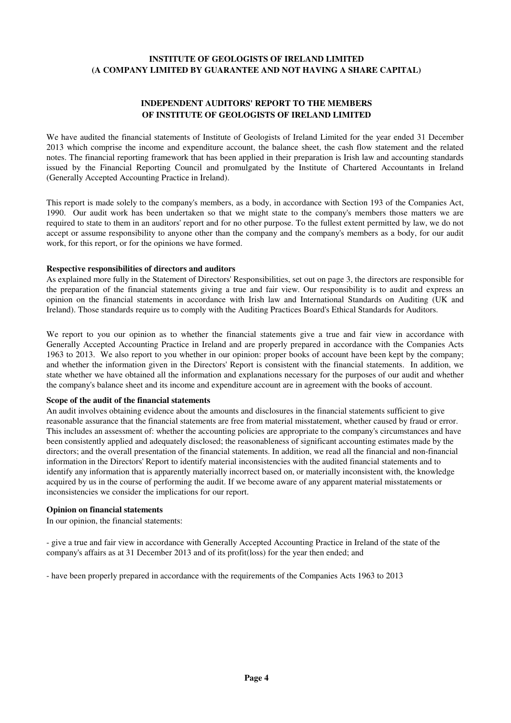#### **INDEPENDENT AUDITORS' REPORT TO THE MEMBERS OF INSTITUTE OF GEOLOGISTS OF IRELAND LIMITED**

We have audited the financial statements of Institute of Geologists of Ireland Limited for the year ended 31 December 2013 which comprise the income and expenditure account, the balance sheet, the cash flow statement and the related notes. The financial reporting framework that has been applied in their preparation is Irish law and accounting standards issued by the Financial Reporting Council and promulgated by the Institute of Chartered Accountants in Ireland (Generally Accepted Accounting Practice in Ireland).

This report is made solely to the company's members, as a body, in accordance with Section 193 of the Companies Act, 1990. Our audit work has been undertaken so that we might state to the company's members those matters we are required to state to them in an auditors' report and for no other purpose. To the fullest extent permitted by law, we do not accept or assume responsibility to anyone other than the company and the company's members as a body, for our audit work, for this report, or for the opinions we have formed.

#### **Respective responsibilities of directors and auditors**

As explained more fully in the Statement of Directors' Responsibilities, set out on page 3, the directors are responsible for the preparation of the financial statements giving a true and fair view. Our responsibility is to audit and express an opinion on the financial statements in accordance with Irish law and International Standards on Auditing (UK and Ireland). Those standards require us to comply with the Auditing Practices Board's Ethical Standards for Auditors.

We report to you our opinion as to whether the financial statements give a true and fair view in accordance with Generally Accepted Accounting Practice in Ireland and are properly prepared in accordance with the Companies Acts 1963 to 2013. We also report to you whether in our opinion: proper books of account have been kept by the company; and whether the information given in the Directors' Report is consistent with the financial statements. In addition, we state whether we have obtained all the information and explanations necessary for the purposes of our audit and whether the company's balance sheet and its income and expenditure account are in agreement with the books of account.

#### **Scope of the audit of the financial statements**

An audit involves obtaining evidence about the amounts and disclosures in the financial statements sufficient to give reasonable assurance that the financial statements are free from material misstatement, whether caused by fraud or error. This includes an assessment of: whether the accounting policies are appropriate to the company's circumstances and have been consistently applied and adequately disclosed; the reasonableness of significant accounting estimates made by the directors; and the overall presentation of the financial statements. In addition, we read all the financial and non-financial information in the Directors' Report to identify material inconsistencies with the audited financial statements and to identify any information that is apparently materially incorrect based on, or materially inconsistent with, the knowledge acquired by us in the course of performing the audit. If we become aware of any apparent material misstatements or inconsistencies we consider the implications for our report.

#### **Opinion on financial statements**

In our opinion, the financial statements:

- give a true and fair view in accordance with Generally Accepted Accounting Practice in Ireland of the state of the company's affairs as at 31 December 2013 and of its profit(loss) for the year then ended; and

- have been properly prepared in accordance with the requirements of the Companies Acts 1963 to 2013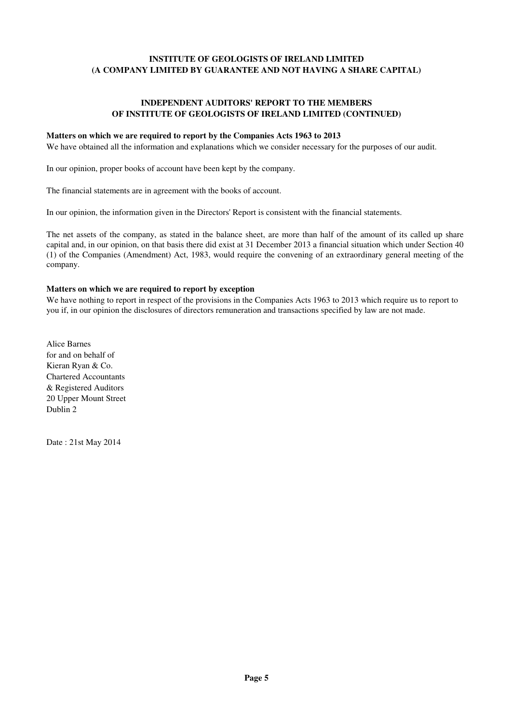#### **INDEPENDENT AUDITORS' REPORT TO THE MEMBERS OF INSTITUTE OF GEOLOGISTS OF IRELAND LIMITED (CONTINUED)**

#### **Matters on which we are required to report by the Companies Acts 1963 to 2013**

We have obtained all the information and explanations which we consider necessary for the purposes of our audit.

In our opinion, proper books of account have been kept by the company.

The financial statements are in agreement with the books of account.

In our opinion, the information given in the Directors' Report is consistent with the financial statements.

The net assets of the company, as stated in the balance sheet, are more than half of the amount of its called up share capital and, in our opinion, on that basis there did exist at 31 December 2013 a financial situation which under Section 40 (1) of the Companies (Amendment) Act, 1983, would require the convening of an extraordinary general meeting of the company.

#### **Matters on which we are required to report by exception**

We have nothing to report in respect of the provisions in the Companies Acts 1963 to 2013 which require us to report to you if, in our opinion the disclosures of directors remuneration and transactions specified by law are not made.

Alice Barnes for and on behalf of Kieran Ryan & Co. Chartered Accountants & Registered Auditors 20 Upper Mount Street Dublin 2

Date : 21st May 2014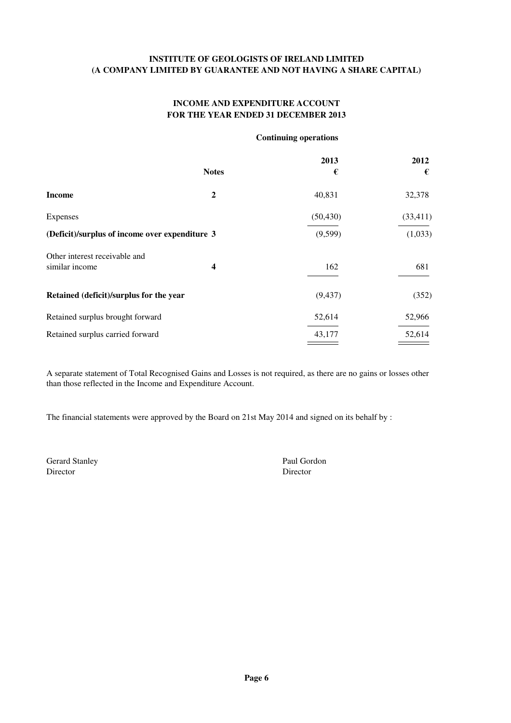#### **INCOME AND EXPENDITURE ACCOUNT FOR THE YEAR ENDED 31 DECEMBER 2013**

#### **Continuing operations**

|                                                |                         | 2013      | 2012      |
|------------------------------------------------|-------------------------|-----------|-----------|
|                                                | <b>Notes</b>            | €         | €         |
| <b>Income</b>                                  | $\overline{2}$          | 40,831    | 32,378    |
| <b>Expenses</b>                                |                         | (50, 430) | (33, 411) |
| (Deficit)/surplus of income over expenditure 3 |                         | (9, 599)  | (1,033)   |
| Other interest receivable and                  |                         |           |           |
| similar income                                 | $\overline{\mathbf{4}}$ | 162       | 681       |
| Retained (deficit)/surplus for the year        |                         | (9, 437)  | (352)     |
| Retained surplus brought forward               |                         | 52,614    | 52,966    |
| Retained surplus carried forward               |                         | 43,177    | 52,614    |

A separate statement of Total Recognised Gains and Losses is not required, as there are no gains or losses other than those reflected in the Income and Expenditure Account.

The financial statements were approved by the Board on 21st May 2014 and signed on its behalf by :

Gerard Stanley Paul Gordon Director Director Director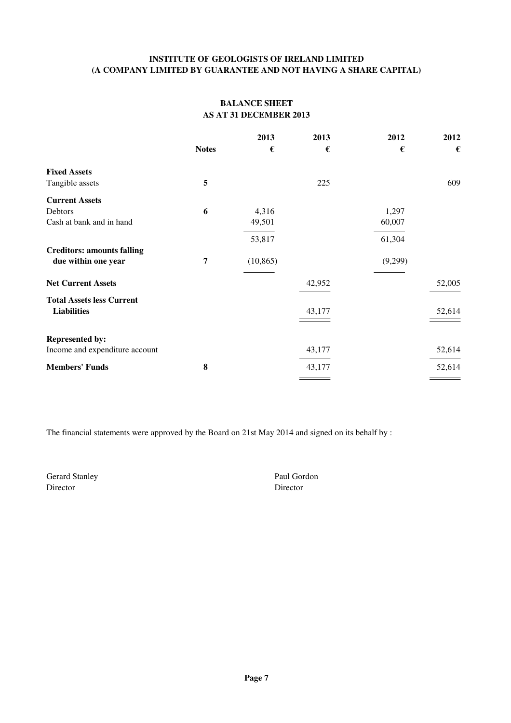#### **BALANCE SHEET AS AT 31 DECEMBER 2013**

|                                   |                | 2013      | 2013   | 2012    | 2012   |
|-----------------------------------|----------------|-----------|--------|---------|--------|
|                                   | <b>Notes</b>   | €         | €      | €       | €      |
| <b>Fixed Assets</b>               |                |           |        |         |        |
| Tangible assets                   | 5              |           | 225    |         | 609    |
| <b>Current Assets</b>             |                |           |        |         |        |
| Debtors                           | 6              | 4,316     |        | 1,297   |        |
| Cash at bank and in hand          |                | 49,501    |        | 60,007  |        |
|                                   |                | 53,817    |        | 61,304  |        |
| <b>Creditors: amounts falling</b> |                |           |        |         |        |
| due within one year               | $\overline{7}$ | (10, 865) |        | (9,299) |        |
| <b>Net Current Assets</b>         |                |           | 42,952 |         | 52,005 |
| <b>Total Assets less Current</b>  |                |           |        |         |        |
| <b>Liabilities</b>                |                |           | 43,177 |         | 52,614 |
|                                   |                |           |        |         |        |
| <b>Represented by:</b>            |                |           |        |         |        |
| Income and expenditure account    |                |           | 43,177 |         | 52,614 |
| <b>Members' Funds</b>             | 8              |           | 43,177 |         | 52,614 |
|                                   |                |           |        |         |        |

The financial statements were approved by the Board on 21st May 2014 and signed on its behalf by :

Gerard Stanley Paul Gordon Director Director Director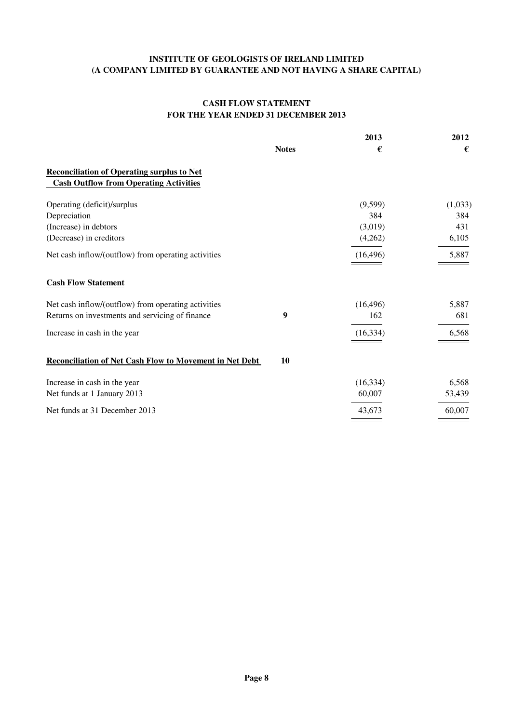#### **CASH FLOW STATEMENT FOR THE YEAR ENDED 31 DECEMBER 2013**

|                                                         |              | 2013      | 2012    |
|---------------------------------------------------------|--------------|-----------|---------|
|                                                         | <b>Notes</b> | €         | €       |
| <b>Reconciliation of Operating surplus to Net</b>       |              |           |         |
| <b>Cash Outflow from Operating Activities</b>           |              |           |         |
| Operating (deficit)/surplus                             |              | (9,599)   | (1,033) |
| Depreciation                                            |              | 384       | 384     |
| (Increase) in debtors                                   |              | (3,019)   | 431     |
| (Decrease) in creditors                                 |              | (4,262)   | 6,105   |
| Net cash inflow/(outflow) from operating activities     |              | (16, 496) | 5,887   |
| <b>Cash Flow Statement</b>                              |              |           |         |
| Net cash inflow/(outflow) from operating activities     |              | (16, 496) | 5,887   |
| Returns on investments and servicing of finance         | 9            | 162       | 681     |
| Increase in cash in the year                            |              | (16, 334) | 6,568   |
|                                                         |              |           |         |
| Reconciliation of Net Cash Flow to Movement in Net Debt | 10           |           |         |
| Increase in cash in the year                            |              | (16, 334) | 6,568   |
| Net funds at 1 January 2013                             |              | 60,007    | 53,439  |
| Net funds at 31 December 2013                           |              | 43,673    | 60,007  |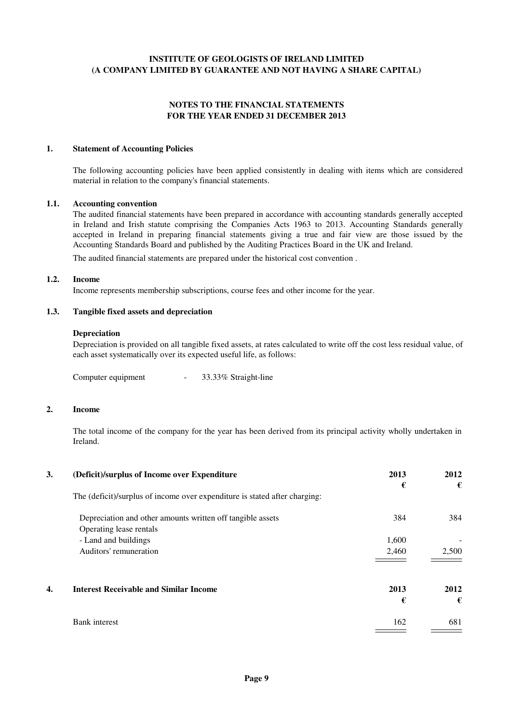#### **NOTES TO THE FINANCIAL STATEMENTS FOR THE YEAR ENDED 31 DECEMBER 2013**

#### **1. Statement of Accounting Policies**

The following accounting policies have been applied consistently in dealing with items which are considered material in relation to the company's financial statements.

#### **1.1. Accounting convention**

The audited financial statements have been prepared in accordance with accounting standards generally accepted in Ireland and Irish statute comprising the Companies Acts 1963 to 2013. Accounting Standards generally accepted in Ireland in preparing financial statements giving a true and fair view are those issued by the Accounting Standards Board and published by the Auditing Practices Board in the UK and Ireland.

The audited financial statements are prepared under the historical cost convention .

#### **1.2. Income**

Income represents membership subscriptions, course fees and other income for the year.

#### **1.3. Tangible fixed assets and depreciation**

#### **Depreciation**

Depreciation is provided on all tangible fixed assets, at rates calculated to write off the cost less residual value, of each asset systematically over its expected useful life, as follows:

Computer equipment - 33.33% Straight-line

#### **2. Income**

The total income of the company for the year has been derived from its principal activity wholly undertaken in Ireland.

| 3. | (Deficit)/surplus of Income over Expenditure                               | 2013<br>€ | 2012<br>€ |
|----|----------------------------------------------------------------------------|-----------|-----------|
|    | The (deficit)/surplus of income over expenditure is stated after charging: |           |           |
|    | Depreciation and other amounts written off tangible assets                 | 384       | 384       |
|    | Operating lease rentals                                                    |           |           |
|    | - Land and buildings                                                       | 1,600     |           |
|    | Auditors' remuneration                                                     | 2,460     | 2,500     |
|    |                                                                            |           |           |
| 4. | <b>Interest Receivable and Similar Income</b>                              | 2013      | 2012      |
|    |                                                                            | €         | €         |
|    | <b>Bank</b> interest                                                       | 162       | 681       |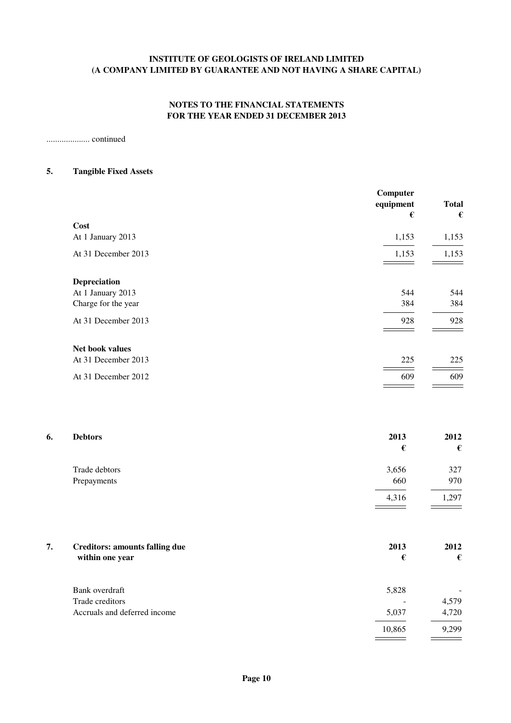#### **NOTES TO THE FINANCIAL STATEMENTS FOR THE YEAR ENDED 31 DECEMBER 2013**

.................... continued

#### **5. Tangible Fixed Assets**

| Computer<br>equipment | <b>Total</b> |
|-----------------------|--------------|
|                       | €            |
| 1,153                 | 1,153        |
| 1,153                 | 1,153        |
|                       |              |
| 544                   | 544          |
| 384                   | 384          |
| 928                   | 928          |
|                       |              |
| 225                   | 225          |
| 609                   | 609          |
|                       | €            |

| 6. | <b>Debtors</b> | 2013  | 2012  |
|----|----------------|-------|-------|
|    |                | €     | €     |
|    | Trade debtors  | 3,656 | 327   |
|    | Prepayments    | 660   | 970   |
|    |                | 4,316 | 1,297 |

| 7. | <b>Creditors: amounts falling due</b><br>within one year | 2013<br>€ | 2012<br>€ |
|----|----------------------------------------------------------|-----------|-----------|
|    | Bank overdraft                                           | 5,828     |           |
|    | Trade creditors                                          |           | 4,579     |
|    | Accruals and deferred income                             | 5,037     | 4,720     |
|    |                                                          | 10,865    | 9,299     |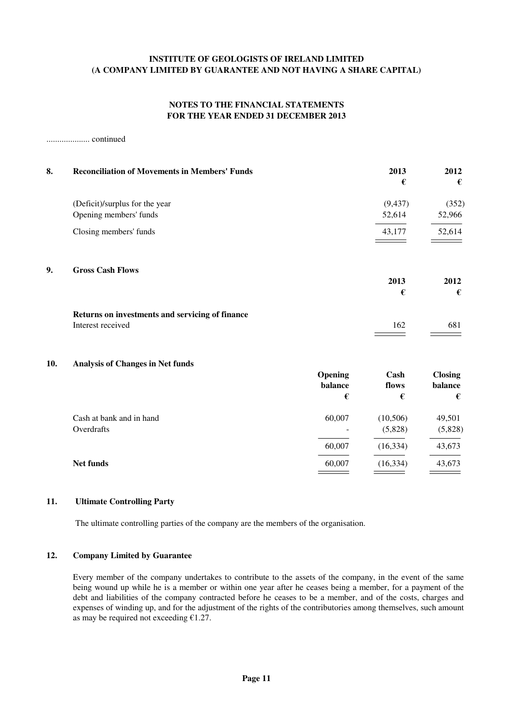#### **NOTES TO THE FINANCIAL STATEMENTS FOR THE YEAR ENDED 31 DECEMBER 2013**

.................... continued

| 8.  | <b>Reconciliation of Movements in Members' Funds</b>                 |                         | 2013<br>€            | 2012<br>€                      |
|-----|----------------------------------------------------------------------|-------------------------|----------------------|--------------------------------|
|     | (Deficit)/surplus for the year<br>Opening members' funds             |                         | (9, 437)<br>52,614   | (352)<br>52,966                |
|     | Closing members' funds                                               |                         | 43,177               | 52,614                         |
| 9.  | <b>Gross Cash Flows</b>                                              |                         |                      |                                |
|     |                                                                      |                         | 2013<br>€            | 2012<br>€                      |
|     | Returns on investments and servicing of finance<br>Interest received |                         | 162                  | 681                            |
| 10. | <b>Analysis of Changes in Net funds</b>                              | Opening<br>balance<br>€ | Cash<br>flows<br>€   | <b>Closing</b><br>balance<br>€ |
|     | Cash at bank and in hand<br>Overdrafts                               | 60,007                  | (10, 506)<br>(5,828) | 49,501<br>(5,828)              |
|     |                                                                      | 60,007                  | (16, 334)            | 43,673                         |
|     | Net funds                                                            | 60,007                  | (16, 334)            | 43,673                         |

#### **11. Ultimate Controlling Party**

The ultimate controlling parties of the company are the members of the organisation.

#### **12. Company Limited by Guarantee**

Every member of the company undertakes to contribute to the assets of the company, in the event of the same being wound up while he is a member or within one year after he ceases being a member, for a payment of the debt and liabilities of the company contracted before he ceases to be a member, and of the costs, charges and expenses of winding up, and for the adjustment of the rights of the contributories among themselves, such amount as may be required not exceeding  $£1.27$ .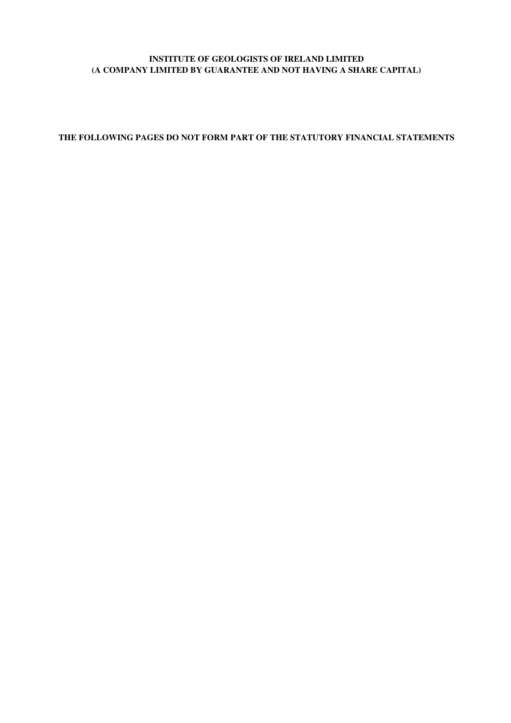**THE FOLLOWING PAGES DO NOT FORM PART OF THE STATUTORY FINANCIAL STATEMENTS**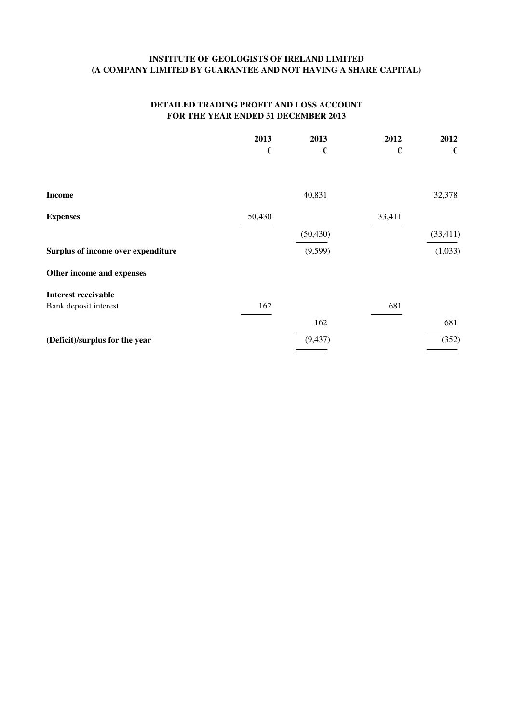#### **DETAILED TRADING PROFIT AND LOSS ACCOUNT FOR THE YEAR ENDED 31 DECEMBER 2013**

|                                    | 2013   | 2013      | 2012   | 2012      |
|------------------------------------|--------|-----------|--------|-----------|
|                                    | €      | €         | €      | €         |
| <b>Income</b>                      |        | 40,831    |        | 32,378    |
| <b>Expenses</b>                    | 50,430 |           | 33,411 |           |
|                                    |        | (50, 430) |        | (33, 411) |
| Surplus of income over expenditure |        | (9, 599)  |        | (1,033)   |
| Other income and expenses          |        |           |        |           |
| <b>Interest receivable</b>         |        |           |        |           |
| Bank deposit interest              | 162    |           | 681    |           |
|                                    |        | 162       |        | 681       |
| (Deficit)/surplus for the year     |        | (9, 437)  |        | (352)     |
|                                    |        |           |        |           |